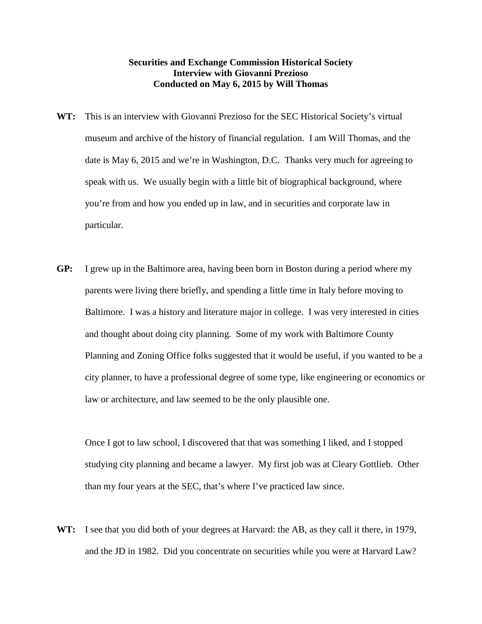## **Securities and Exchange Commission Historical Society Interview with Giovanni Prezioso Conducted on May 6, 2015 by Will Thomas**

- **WT:** This is an interview with Giovanni Prezioso for the SEC Historical Society's virtual museum and archive of the history of financial regulation. I am Will Thomas, and the date is May 6, 2015 and we're in Washington, D.C. Thanks very much for agreeing to speak with us. We usually begin with a little bit of biographical background, where you're from and how you ended up in law, and in securities and corporate law in particular.
- **GP:** I grew up in the Baltimore area, having been born in Boston during a period where my parents were living there briefly, and spending a little time in Italy before moving to Baltimore. I was a history and literature major in college. I was very interested in cities and thought about doing city planning. Some of my work with Baltimore County Planning and Zoning Office folks suggested that it would be useful, if you wanted to be a city planner, to have a professional degree of some type, like engineering or economics or law or architecture, and law seemed to be the only plausible one.

Once I got to law school, I discovered that that was something I liked, and I stopped studying city planning and became a lawyer. My first job was at Cleary Gottlieb. Other than my four years at the SEC, that's where I've practiced law since.

**WT:** I see that you did both of your degrees at Harvard: the AB, as they call it there, in 1979, and the JD in 1982. Did you concentrate on securities while you were at Harvard Law?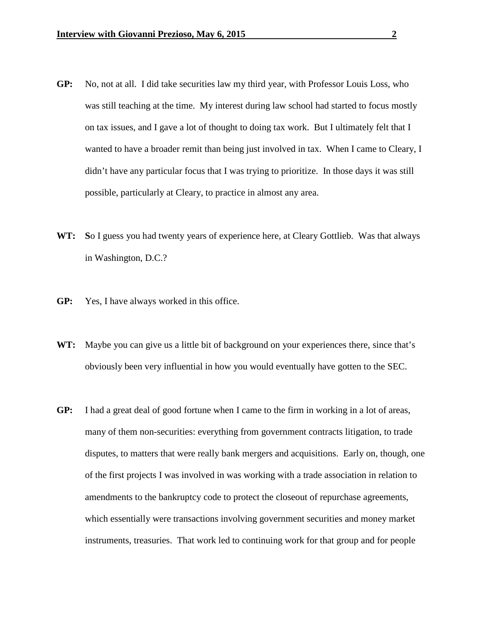- **GP:** No, not at all. I did take securities law my third year, with Professor Louis Loss, who was still teaching at the time. My interest during law school had started to focus mostly on tax issues, and I gave a lot of thought to doing tax work. But I ultimately felt that I wanted to have a broader remit than being just involved in tax. When I came to Cleary, I didn't have any particular focus that I was trying to prioritize. In those days it was still possible, particularly at Cleary, to practice in almost any area.
- **WT: S**o I guess you had twenty years of experience here, at Cleary Gottlieb. Was that always in Washington, D.C.?
- **GP:** Yes, I have always worked in this office.
- **WT:** Maybe you can give us a little bit of background on your experiences there, since that's obviously been very influential in how you would eventually have gotten to the SEC.
- **GP:** I had a great deal of good fortune when I came to the firm in working in a lot of areas, many of them non-securities: everything from government contracts litigation, to trade disputes, to matters that were really bank mergers and acquisitions. Early on, though, one of the first projects I was involved in was working with a trade association in relation to amendments to the bankruptcy code to protect the closeout of repurchase agreements, which essentially were transactions involving government securities and money market instruments, treasuries. That work led to continuing work for that group and for people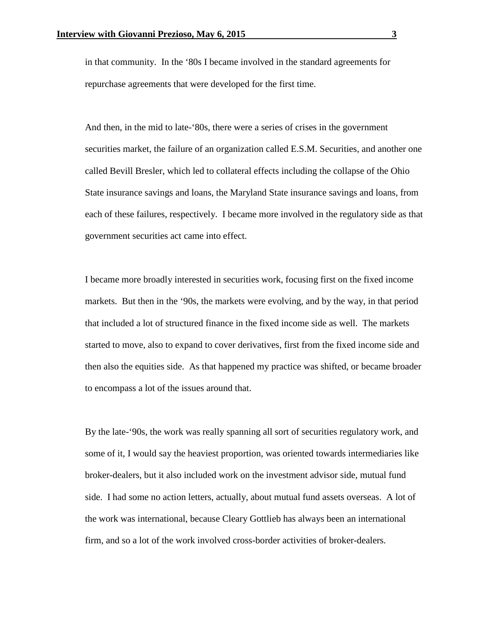in that community. In the '80s I became involved in the standard agreements for repurchase agreements that were developed for the first time.

And then, in the mid to late-'80s, there were a series of crises in the government securities market, the failure of an organization called E.S.M. Securities, and another one called Bevill Bresler, which led to collateral effects including the collapse of the Ohio State insurance savings and loans, the Maryland State insurance savings and loans, from each of these failures, respectively. I became more involved in the regulatory side as that government securities act came into effect.

I became more broadly interested in securities work, focusing first on the fixed income markets. But then in the '90s, the markets were evolving, and by the way, in that period that included a lot of structured finance in the fixed income side as well. The markets started to move, also to expand to cover derivatives, first from the fixed income side and then also the equities side. As that happened my practice was shifted, or became broader to encompass a lot of the issues around that.

By the late-'90s, the work was really spanning all sort of securities regulatory work, and some of it, I would say the heaviest proportion, was oriented towards intermediaries like broker-dealers, but it also included work on the investment advisor side, mutual fund side. I had some no action letters, actually, about mutual fund assets overseas. A lot of the work was international, because Cleary Gottlieb has always been an international firm, and so a lot of the work involved cross-border activities of broker-dealers.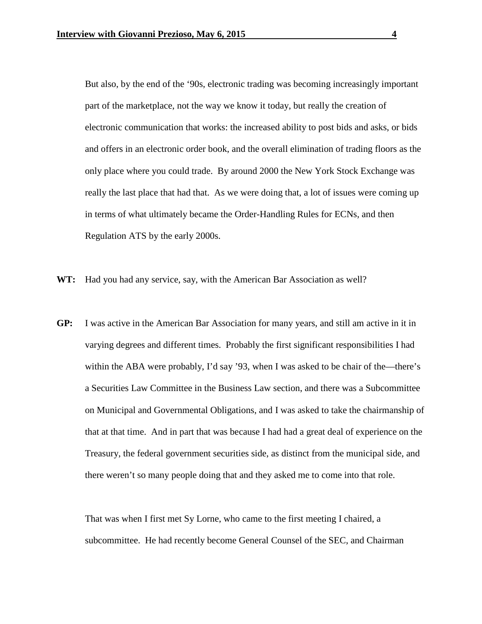But also, by the end of the '90s, electronic trading was becoming increasingly important part of the marketplace, not the way we know it today, but really the creation of electronic communication that works: the increased ability to post bids and asks, or bids and offers in an electronic order book, and the overall elimination of trading floors as the only place where you could trade. By around 2000 the New York Stock Exchange was really the last place that had that. As we were doing that, a lot of issues were coming up in terms of what ultimately became the Order-Handling Rules for ECNs, and then Regulation ATS by the early 2000s.

- **WT:** Had you had any service, say, with the American Bar Association as well?
- **GP:** I was active in the American Bar Association for many years, and still am active in it in varying degrees and different times. Probably the first significant responsibilities I had within the ABA were probably, I'd say '93, when I was asked to be chair of the—there's a Securities Law Committee in the Business Law section, and there was a Subcommittee on Municipal and Governmental Obligations, and I was asked to take the chairmanship of that at that time. And in part that was because I had had a great deal of experience on the Treasury, the federal government securities side, as distinct from the municipal side, and there weren't so many people doing that and they asked me to come into that role.

That was when I first met Sy Lorne, who came to the first meeting I chaired, a subcommittee. He had recently become General Counsel of the SEC, and Chairman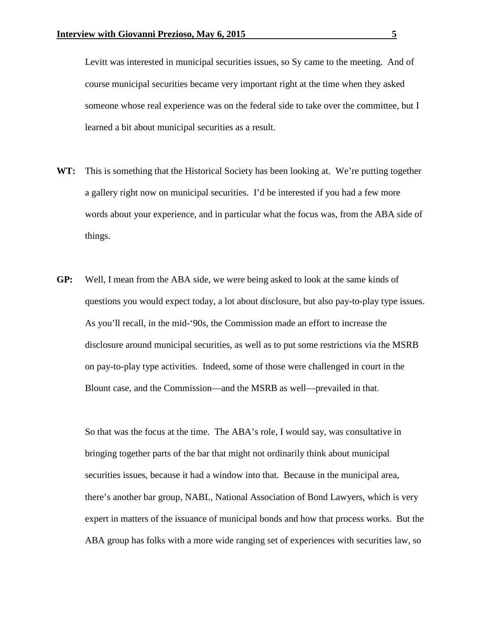Levitt was interested in municipal securities issues, so Sy came to the meeting. And of course municipal securities became very important right at the time when they asked someone whose real experience was on the federal side to take over the committee, but I learned a bit about municipal securities as a result.

- **WT:** This is something that the Historical Society has been looking at. We're putting together a gallery right now on municipal securities. I'd be interested if you had a few more words about your experience, and in particular what the focus was, from the ABA side of things.
- **GP:** Well, I mean from the ABA side, we were being asked to look at the same kinds of questions you would expect today, a lot about disclosure, but also pay-to-play type issues. As you'll recall, in the mid-'90s, the Commission made an effort to increase the disclosure around municipal securities, as well as to put some restrictions via the MSRB on pay-to-play type activities. Indeed, some of those were challenged in court in the Blount case, and the Commission—and the MSRB as well—prevailed in that.

So that was the focus at the time. The ABA's role, I would say, was consultative in bringing together parts of the bar that might not ordinarily think about municipal securities issues, because it had a window into that. Because in the municipal area, there's another bar group, NABL, National Association of Bond Lawyers, which is very expert in matters of the issuance of municipal bonds and how that process works. But the ABA group has folks with a more wide ranging set of experiences with securities law, so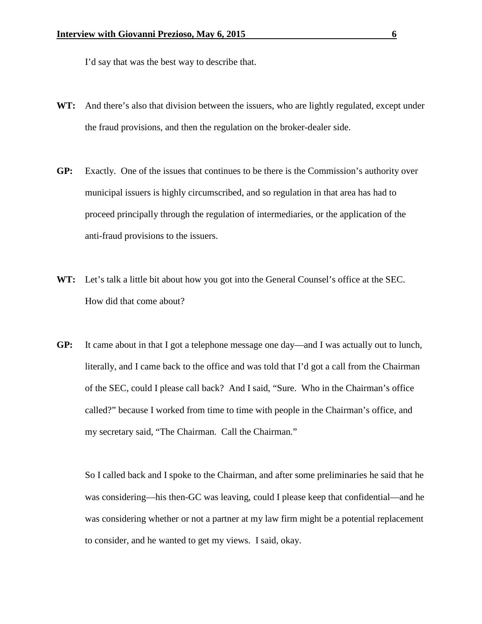I'd say that was the best way to describe that.

- WT: And there's also that division between the issuers, who are lightly regulated, except under the fraud provisions, and then the regulation on the broker-dealer side.
- **GP:** Exactly. One of the issues that continues to be there is the Commission's authority over municipal issuers is highly circumscribed, and so regulation in that area has had to proceed principally through the regulation of intermediaries, or the application of the anti-fraud provisions to the issuers.
- **WT:** Let's talk a little bit about how you got into the General Counsel's office at the SEC. How did that come about?
- **GP:** It came about in that I got a telephone message one day—and I was actually out to lunch, literally, and I came back to the office and was told that I'd got a call from the Chairman of the SEC, could I please call back? And I said, "Sure. Who in the Chairman's office called?" because I worked from time to time with people in the Chairman's office, and my secretary said, "The Chairman. Call the Chairman."

So I called back and I spoke to the Chairman, and after some preliminaries he said that he was considering—his then-GC was leaving, could I please keep that confidential—and he was considering whether or not a partner at my law firm might be a potential replacement to consider, and he wanted to get my views. I said, okay.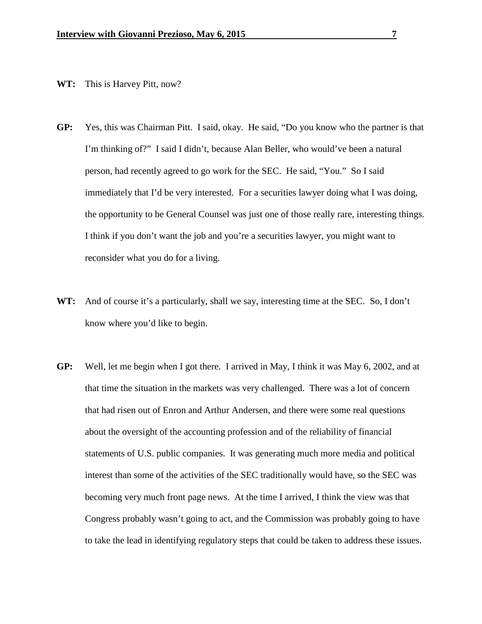## **WT:** This is Harvey Pitt, now?

- **GP:** Yes, this was Chairman Pitt. I said, okay. He said, "Do you know who the partner is that I'm thinking of?" I said I didn't, because Alan Beller, who would've been a natural person, had recently agreed to go work for the SEC. He said, "You." So I said immediately that I'd be very interested. For a securities lawyer doing what I was doing, the opportunity to be General Counsel was just one of those really rare, interesting things. I think if you don't want the job and you're a securities lawyer, you might want to reconsider what you do for a living.
- **WT:** And of course it's a particularly, shall we say, interesting time at the SEC. So, I don't know where you'd like to begin.
- **GP:** Well, let me begin when I got there. I arrived in May, I think it was May 6, 2002, and at that time the situation in the markets was very challenged. There was a lot of concern that had risen out of Enron and Arthur Andersen, and there were some real questions about the oversight of the accounting profession and of the reliability of financial statements of U.S. public companies. It was generating much more media and political interest than some of the activities of the SEC traditionally would have, so the SEC was becoming very much front page news. At the time I arrived, I think the view was that Congress probably wasn't going to act, and the Commission was probably going to have to take the lead in identifying regulatory steps that could be taken to address these issues.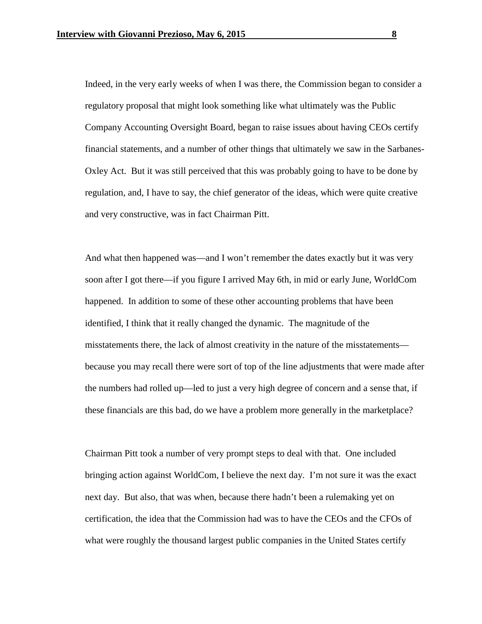Indeed, in the very early weeks of when I was there, the Commission began to consider a regulatory proposal that might look something like what ultimately was the Public Company Accounting Oversight Board, began to raise issues about having CEOs certify financial statements, and a number of other things that ultimately we saw in the Sarbanes-Oxley Act. But it was still perceived that this was probably going to have to be done by regulation, and, I have to say, the chief generator of the ideas, which were quite creative and very constructive, was in fact Chairman Pitt.

And what then happened was—and I won't remember the dates exactly but it was very soon after I got there—if you figure I arrived May 6th, in mid or early June, WorldCom happened. In addition to some of these other accounting problems that have been identified, I think that it really changed the dynamic. The magnitude of the misstatements there, the lack of almost creativity in the nature of the misstatements because you may recall there were sort of top of the line adjustments that were made after the numbers had rolled up—led to just a very high degree of concern and a sense that, if these financials are this bad, do we have a problem more generally in the marketplace?

Chairman Pitt took a number of very prompt steps to deal with that. One included bringing action against WorldCom, I believe the next day. I'm not sure it was the exact next day. But also, that was when, because there hadn't been a rulemaking yet on certification, the idea that the Commission had was to have the CEOs and the CFOs of what were roughly the thousand largest public companies in the United States certify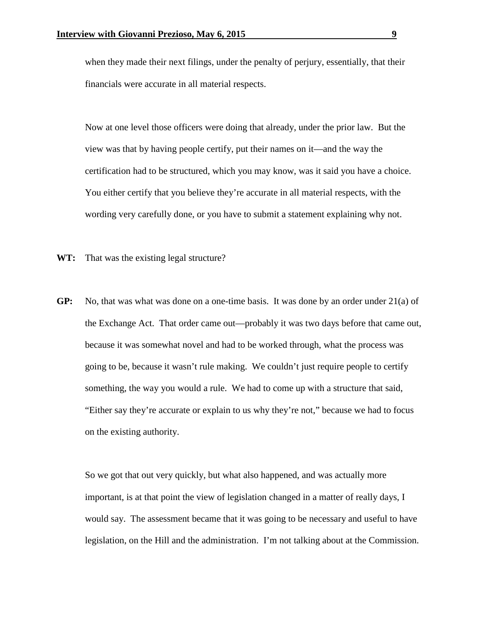when they made their next filings, under the penalty of perjury, essentially, that their financials were accurate in all material respects.

Now at one level those officers were doing that already, under the prior law. But the view was that by having people certify, put their names on it—and the way the certification had to be structured, which you may know, was it said you have a choice. You either certify that you believe they're accurate in all material respects, with the wording very carefully done, or you have to submit a statement explaining why not.

**WT:** That was the existing legal structure?

**GP:** No, that was what was done on a one-time basis. It was done by an order under 21(a) of the Exchange Act. That order came out—probably it was two days before that came out, because it was somewhat novel and had to be worked through, what the process was going to be, because it wasn't rule making. We couldn't just require people to certify something, the way you would a rule. We had to come up with a structure that said, "Either say they're accurate or explain to us why they're not," because we had to focus on the existing authority.

So we got that out very quickly, but what also happened, and was actually more important, is at that point the view of legislation changed in a matter of really days, I would say. The assessment became that it was going to be necessary and useful to have legislation, on the Hill and the administration. I'm not talking about at the Commission.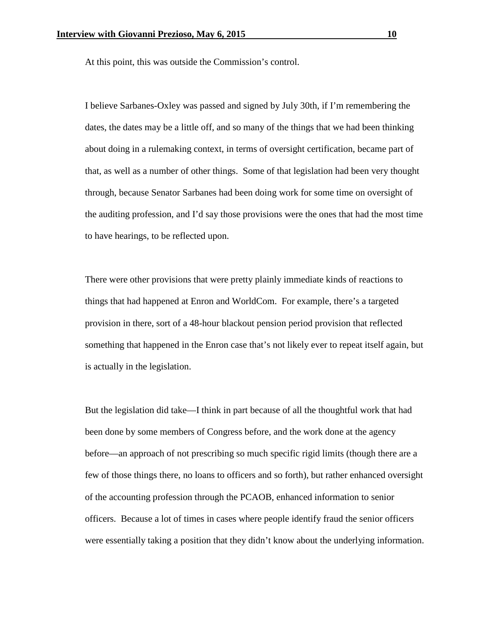At this point, this was outside the Commission's control.

I believe Sarbanes-Oxley was passed and signed by July 30th, if I'm remembering the dates, the dates may be a little off, and so many of the things that we had been thinking about doing in a rulemaking context, in terms of oversight certification, became part of that, as well as a number of other things. Some of that legislation had been very thought through, because Senator Sarbanes had been doing work for some time on oversight of the auditing profession, and I'd say those provisions were the ones that had the most time to have hearings, to be reflected upon.

There were other provisions that were pretty plainly immediate kinds of reactions to things that had happened at Enron and WorldCom. For example, there's a targeted provision in there, sort of a 48-hour blackout pension period provision that reflected something that happened in the Enron case that's not likely ever to repeat itself again, but is actually in the legislation.

But the legislation did take—I think in part because of all the thoughtful work that had been done by some members of Congress before, and the work done at the agency before—an approach of not prescribing so much specific rigid limits (though there are a few of those things there, no loans to officers and so forth), but rather enhanced oversight of the accounting profession through the PCAOB, enhanced information to senior officers. Because a lot of times in cases where people identify fraud the senior officers were essentially taking a position that they didn't know about the underlying information.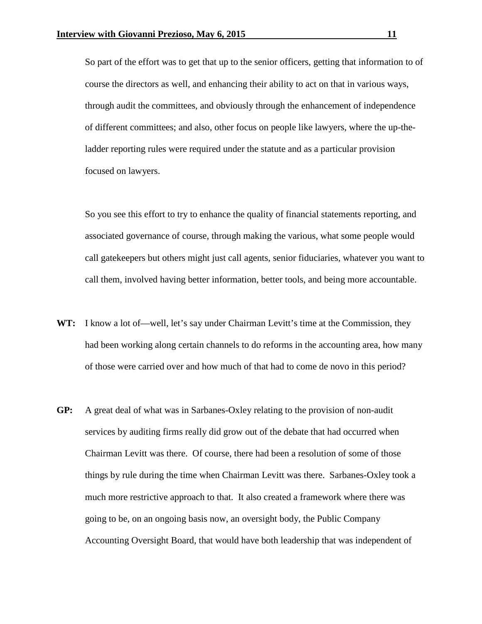So part of the effort was to get that up to the senior officers, getting that information to of course the directors as well, and enhancing their ability to act on that in various ways, through audit the committees, and obviously through the enhancement of independence of different committees; and also, other focus on people like lawyers, where the up-theladder reporting rules were required under the statute and as a particular provision focused on lawyers.

So you see this effort to try to enhance the quality of financial statements reporting, and associated governance of course, through making the various, what some people would call gatekeepers but others might just call agents, senior fiduciaries, whatever you want to call them, involved having better information, better tools, and being more accountable.

- WT: I know a lot of—well, let's say under Chairman Levitt's time at the Commission, they had been working along certain channels to do reforms in the accounting area, how many of those were carried over and how much of that had to come de novo in this period?
- **GP:** A great deal of what was in Sarbanes-Oxley relating to the provision of non-audit services by auditing firms really did grow out of the debate that had occurred when Chairman Levitt was there. Of course, there had been a resolution of some of those things by rule during the time when Chairman Levitt was there. Sarbanes-Oxley took a much more restrictive approach to that. It also created a framework where there was going to be, on an ongoing basis now, an oversight body, the Public Company Accounting Oversight Board, that would have both leadership that was independent of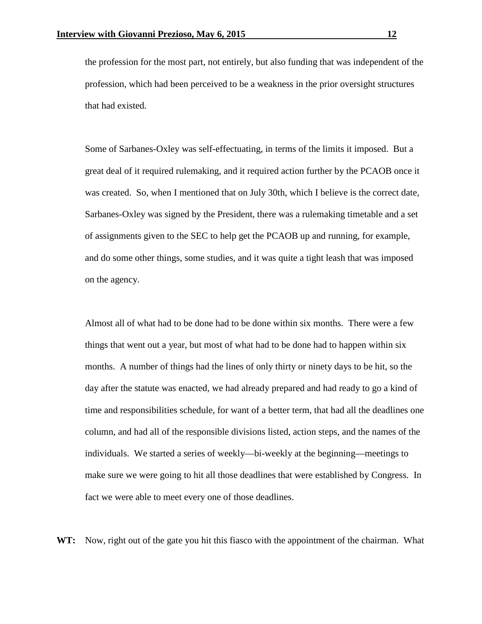the profession for the most part, not entirely, but also funding that was independent of the profession, which had been perceived to be a weakness in the prior oversight structures that had existed.

Some of Sarbanes-Oxley was self-effectuating, in terms of the limits it imposed. But a great deal of it required rulemaking, and it required action further by the PCAOB once it was created. So, when I mentioned that on July 30th, which I believe is the correct date, Sarbanes-Oxley was signed by the President, there was a rulemaking timetable and a set of assignments given to the SEC to help get the PCAOB up and running, for example, and do some other things, some studies, and it was quite a tight leash that was imposed on the agency.

Almost all of what had to be done had to be done within six months. There were a few things that went out a year, but most of what had to be done had to happen within six months. A number of things had the lines of only thirty or ninety days to be hit, so the day after the statute was enacted, we had already prepared and had ready to go a kind of time and responsibilities schedule, for want of a better term, that had all the deadlines one column, and had all of the responsible divisions listed, action steps, and the names of the individuals. We started a series of weekly—bi-weekly at the beginning—meetings to make sure we were going to hit all those deadlines that were established by Congress. In fact we were able to meet every one of those deadlines.

**WT:** Now, right out of the gate you hit this fiasco with the appointment of the chairman. What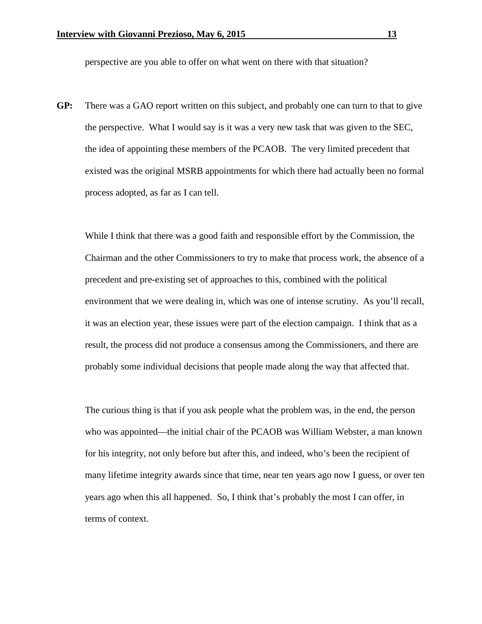perspective are you able to offer on what went on there with that situation?

**GP:** There was a GAO report written on this subject, and probably one can turn to that to give the perspective. What I would say is it was a very new task that was given to the SEC, the idea of appointing these members of the PCAOB. The very limited precedent that existed was the original MSRB appointments for which there had actually been no formal process adopted, as far as I can tell.

While I think that there was a good faith and responsible effort by the Commission, the Chairman and the other Commissioners to try to make that process work, the absence of a precedent and pre-existing set of approaches to this, combined with the political environment that we were dealing in, which was one of intense scrutiny. As you'll recall, it was an election year, these issues were part of the election campaign. I think that as a result, the process did not produce a consensus among the Commissioners, and there are probably some individual decisions that people made along the way that affected that.

The curious thing is that if you ask people what the problem was, in the end, the person who was appointed—the initial chair of the PCAOB was William Webster, a man known for his integrity, not only before but after this, and indeed, who's been the recipient of many lifetime integrity awards since that time, near ten years ago now I guess, or over ten years ago when this all happened. So, I think that's probably the most I can offer, in terms of context.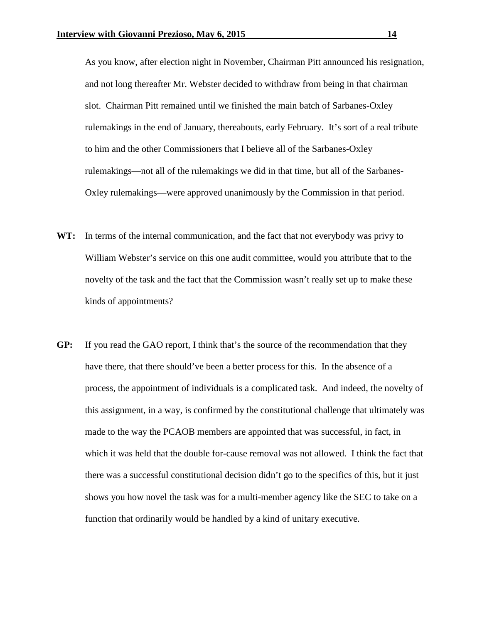As you know, after election night in November, Chairman Pitt announced his resignation, and not long thereafter Mr. Webster decided to withdraw from being in that chairman slot. Chairman Pitt remained until we finished the main batch of Sarbanes-Oxley rulemakings in the end of January, thereabouts, early February. It's sort of a real tribute to him and the other Commissioners that I believe all of the Sarbanes-Oxley rulemakings—not all of the rulemakings we did in that time, but all of the Sarbanes-Oxley rulemakings—were approved unanimously by the Commission in that period.

- **WT:** In terms of the internal communication, and the fact that not everybody was privy to William Webster's service on this one audit committee, would you attribute that to the novelty of the task and the fact that the Commission wasn't really set up to make these kinds of appointments?
- **GP:** If you read the GAO report, I think that's the source of the recommendation that they have there, that there should've been a better process for this. In the absence of a process, the appointment of individuals is a complicated task. And indeed, the novelty of this assignment, in a way, is confirmed by the constitutional challenge that ultimately was made to the way the PCAOB members are appointed that was successful, in fact, in which it was held that the double for-cause removal was not allowed. I think the fact that there was a successful constitutional decision didn't go to the specifics of this, but it just shows you how novel the task was for a multi-member agency like the SEC to take on a function that ordinarily would be handled by a kind of unitary executive.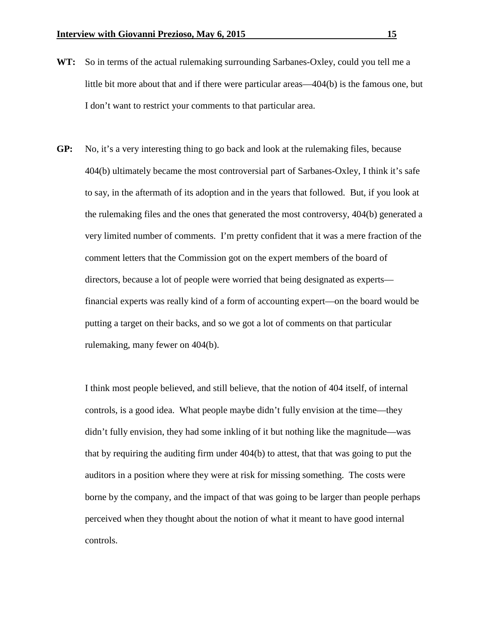- **WT:** So in terms of the actual rulemaking surrounding Sarbanes-Oxley, could you tell me a little bit more about that and if there were particular areas—404(b) is the famous one, but I don't want to restrict your comments to that particular area.
- **GP:** No, it's a very interesting thing to go back and look at the rulemaking files, because 404(b) ultimately became the most controversial part of Sarbanes-Oxley, I think it's safe to say, in the aftermath of its adoption and in the years that followed. But, if you look at the rulemaking files and the ones that generated the most controversy, 404(b) generated a very limited number of comments. I'm pretty confident that it was a mere fraction of the comment letters that the Commission got on the expert members of the board of directors, because a lot of people were worried that being designated as experts financial experts was really kind of a form of accounting expert—on the board would be putting a target on their backs, and so we got a lot of comments on that particular rulemaking, many fewer on 404(b).

I think most people believed, and still believe, that the notion of 404 itself, of internal controls, is a good idea. What people maybe didn't fully envision at the time—they didn't fully envision, they had some inkling of it but nothing like the magnitude—was that by requiring the auditing firm under 404(b) to attest, that that was going to put the auditors in a position where they were at risk for missing something. The costs were borne by the company, and the impact of that was going to be larger than people perhaps perceived when they thought about the notion of what it meant to have good internal controls.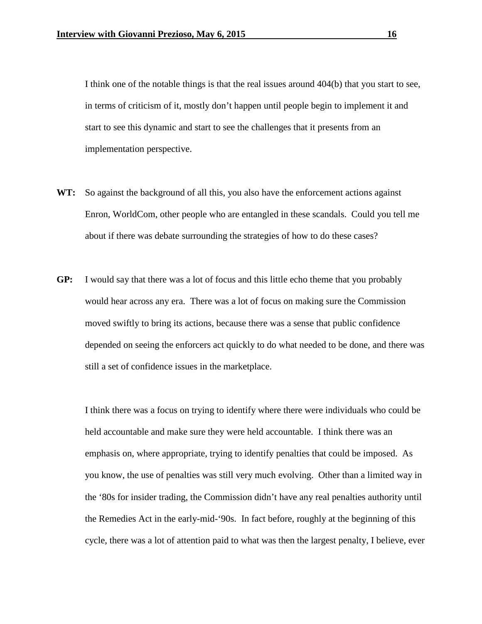I think one of the notable things is that the real issues around 404(b) that you start to see, in terms of criticism of it, mostly don't happen until people begin to implement it and start to see this dynamic and start to see the challenges that it presents from an implementation perspective.

- **WT:** So against the background of all this, you also have the enforcement actions against Enron, WorldCom, other people who are entangled in these scandals. Could you tell me about if there was debate surrounding the strategies of how to do these cases?
- **GP:** I would say that there was a lot of focus and this little echo theme that you probably would hear across any era. There was a lot of focus on making sure the Commission moved swiftly to bring its actions, because there was a sense that public confidence depended on seeing the enforcers act quickly to do what needed to be done, and there was still a set of confidence issues in the marketplace.

I think there was a focus on trying to identify where there were individuals who could be held accountable and make sure they were held accountable. I think there was an emphasis on, where appropriate, trying to identify penalties that could be imposed. As you know, the use of penalties was still very much evolving. Other than a limited way in the '80s for insider trading, the Commission didn't have any real penalties authority until the Remedies Act in the early-mid-'90s. In fact before, roughly at the beginning of this cycle, there was a lot of attention paid to what was then the largest penalty, I believe, ever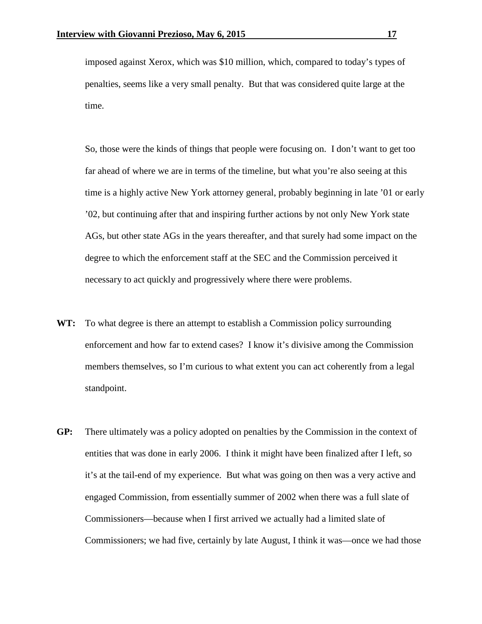imposed against Xerox, which was \$10 million, which, compared to today's types of penalties, seems like a very small penalty. But that was considered quite large at the time.

So, those were the kinds of things that people were focusing on. I don't want to get too far ahead of where we are in terms of the timeline, but what you're also seeing at this time is a highly active New York attorney general, probably beginning in late '01 or early '02, but continuing after that and inspiring further actions by not only New York state AGs, but other state AGs in the years thereafter, and that surely had some impact on the degree to which the enforcement staff at the SEC and the Commission perceived it necessary to act quickly and progressively where there were problems.

- **WT:** To what degree is there an attempt to establish a Commission policy surrounding enforcement and how far to extend cases? I know it's divisive among the Commission members themselves, so I'm curious to what extent you can act coherently from a legal standpoint.
- **GP:** There ultimately was a policy adopted on penalties by the Commission in the context of entities that was done in early 2006. I think it might have been finalized after I left, so it's at the tail-end of my experience. But what was going on then was a very active and engaged Commission, from essentially summer of 2002 when there was a full slate of Commissioners—because when I first arrived we actually had a limited slate of Commissioners; we had five, certainly by late August, I think it was—once we had those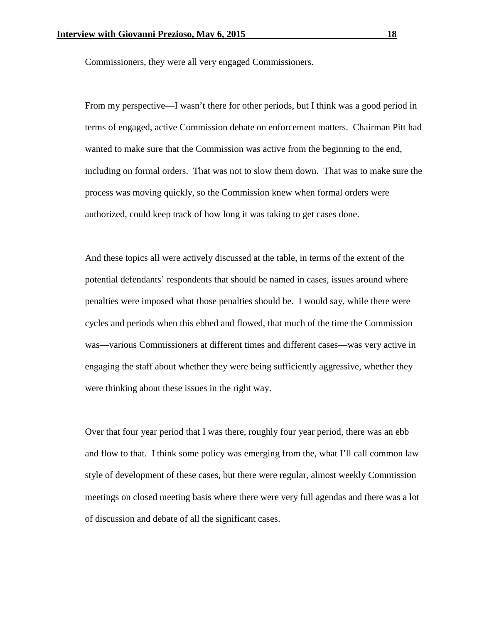Commissioners, they were all very engaged Commissioners.

From my perspective—I wasn't there for other periods, but I think was a good period in terms of engaged, active Commission debate on enforcement matters. Chairman Pitt had wanted to make sure that the Commission was active from the beginning to the end, including on formal orders. That was not to slow them down. That was to make sure the process was moving quickly, so the Commission knew when formal orders were authorized, could keep track of how long it was taking to get cases done.

And these topics all were actively discussed at the table, in terms of the extent of the potential defendants' respondents that should be named in cases, issues around where penalties were imposed what those penalties should be. I would say, while there were cycles and periods when this ebbed and flowed, that much of the time the Commission was—various Commissioners at different times and different cases—was very active in engaging the staff about whether they were being sufficiently aggressive, whether they were thinking about these issues in the right way.

Over that four year period that I was there, roughly four year period, there was an ebb and flow to that. I think some policy was emerging from the, what I'll call common law style of development of these cases, but there were regular, almost weekly Commission meetings on closed meeting basis where there were very full agendas and there was a lot of discussion and debate of all the significant cases.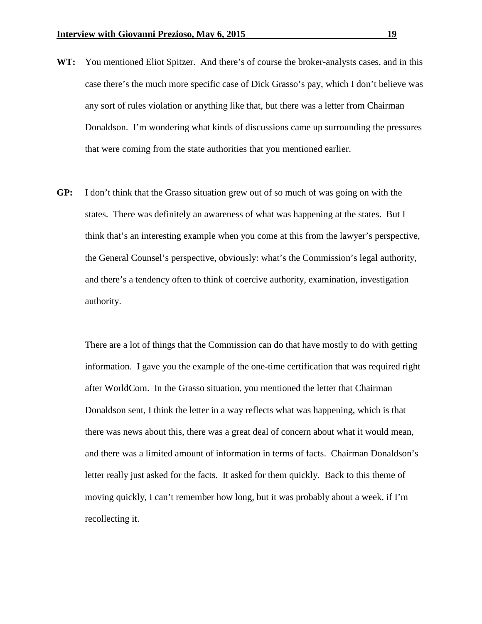- **WT:** You mentioned Eliot Spitzer. And there's of course the broker-analysts cases, and in this case there's the much more specific case of Dick Grasso's pay, which I don't believe was any sort of rules violation or anything like that, but there was a letter from Chairman Donaldson. I'm wondering what kinds of discussions came up surrounding the pressures that were coming from the state authorities that you mentioned earlier.
- **GP:** I don't think that the Grasso situation grew out of so much of was going on with the states. There was definitely an awareness of what was happening at the states. But I think that's an interesting example when you come at this from the lawyer's perspective, the General Counsel's perspective, obviously: what's the Commission's legal authority, and there's a tendency often to think of coercive authority, examination, investigation authority.

There are a lot of things that the Commission can do that have mostly to do with getting information. I gave you the example of the one-time certification that was required right after WorldCom. In the Grasso situation, you mentioned the letter that Chairman Donaldson sent, I think the letter in a way reflects what was happening, which is that there was news about this, there was a great deal of concern about what it would mean, and there was a limited amount of information in terms of facts. Chairman Donaldson's letter really just asked for the facts. It asked for them quickly. Back to this theme of moving quickly, I can't remember how long, but it was probably about a week, if I'm recollecting it.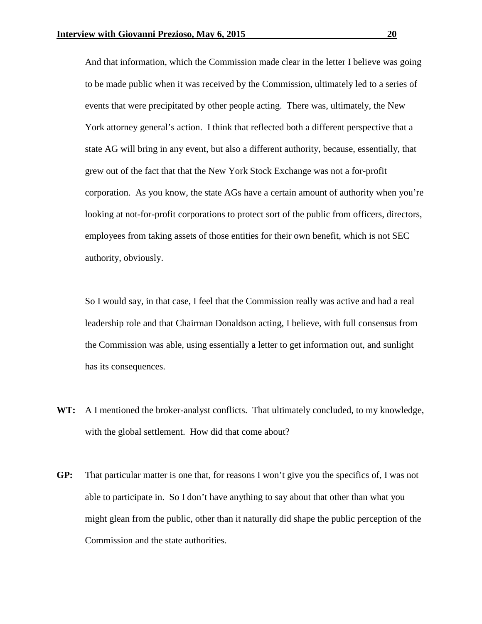And that information, which the Commission made clear in the letter I believe was going to be made public when it was received by the Commission, ultimately led to a series of events that were precipitated by other people acting. There was, ultimately, the New York attorney general's action. I think that reflected both a different perspective that a state AG will bring in any event, but also a different authority, because, essentially, that grew out of the fact that that the New York Stock Exchange was not a for-profit corporation. As you know, the state AGs have a certain amount of authority when you're looking at not-for-profit corporations to protect sort of the public from officers, directors, employees from taking assets of those entities for their own benefit, which is not SEC authority, obviously.

So I would say, in that case, I feel that the Commission really was active and had a real leadership role and that Chairman Donaldson acting, I believe, with full consensus from the Commission was able, using essentially a letter to get information out, and sunlight has its consequences.

- **WT:** A I mentioned the broker-analyst conflicts. That ultimately concluded, to my knowledge, with the global settlement. How did that come about?
- **GP:** That particular matter is one that, for reasons I won't give you the specifics of, I was not able to participate in. So I don't have anything to say about that other than what you might glean from the public, other than it naturally did shape the public perception of the Commission and the state authorities.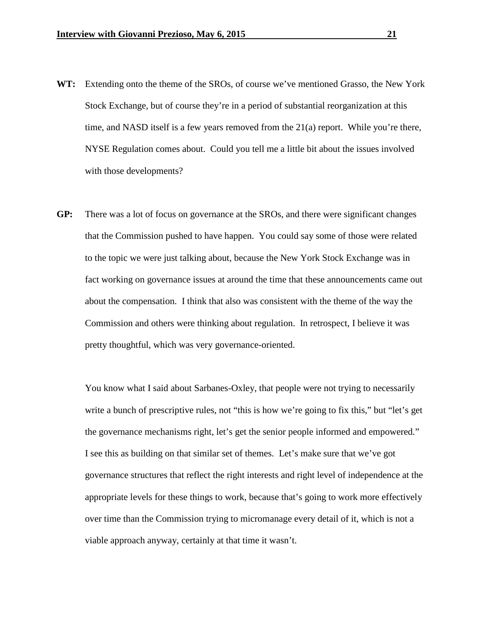- **WT:** Extending onto the theme of the SROs, of course we've mentioned Grasso, the New York Stock Exchange, but of course they're in a period of substantial reorganization at this time, and NASD itself is a few years removed from the  $21(a)$  report. While you're there, NYSE Regulation comes about. Could you tell me a little bit about the issues involved with those developments?
- **GP:** There was a lot of focus on governance at the SROs, and there were significant changes that the Commission pushed to have happen. You could say some of those were related to the topic we were just talking about, because the New York Stock Exchange was in fact working on governance issues at around the time that these announcements came out about the compensation. I think that also was consistent with the theme of the way the Commission and others were thinking about regulation. In retrospect, I believe it was pretty thoughtful, which was very governance-oriented.

You know what I said about Sarbanes-Oxley, that people were not trying to necessarily write a bunch of prescriptive rules, not "this is how we're going to fix this," but "let's get the governance mechanisms right, let's get the senior people informed and empowered." I see this as building on that similar set of themes. Let's make sure that we've got governance structures that reflect the right interests and right level of independence at the appropriate levels for these things to work, because that's going to work more effectively over time than the Commission trying to micromanage every detail of it, which is not a viable approach anyway, certainly at that time it wasn't.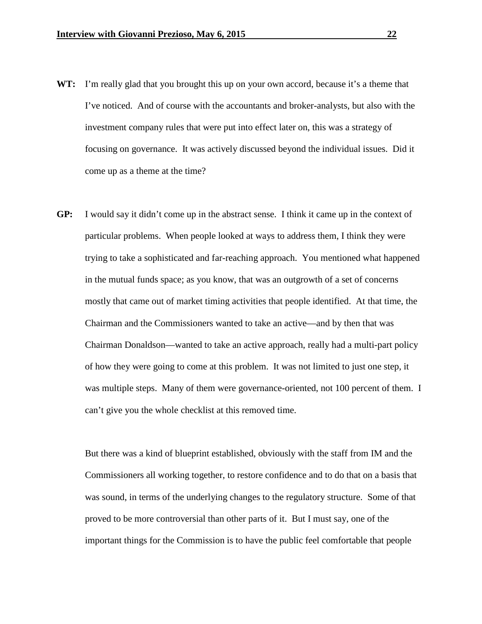- **WT:** I'm really glad that you brought this up on your own accord, because it's a theme that I've noticed. And of course with the accountants and broker-analysts, but also with the investment company rules that were put into effect later on, this was a strategy of focusing on governance. It was actively discussed beyond the individual issues. Did it come up as a theme at the time?
- **GP:** I would say it didn't come up in the abstract sense. I think it came up in the context of particular problems. When people looked at ways to address them, I think they were trying to take a sophisticated and far-reaching approach. You mentioned what happened in the mutual funds space; as you know, that was an outgrowth of a set of concerns mostly that came out of market timing activities that people identified. At that time, the Chairman and the Commissioners wanted to take an active—and by then that was Chairman Donaldson—wanted to take an active approach, really had a multi-part policy of how they were going to come at this problem. It was not limited to just one step, it was multiple steps. Many of them were governance-oriented, not 100 percent of them. I can't give you the whole checklist at this removed time.

But there was a kind of blueprint established, obviously with the staff from IM and the Commissioners all working together, to restore confidence and to do that on a basis that was sound, in terms of the underlying changes to the regulatory structure. Some of that proved to be more controversial than other parts of it. But I must say, one of the important things for the Commission is to have the public feel comfortable that people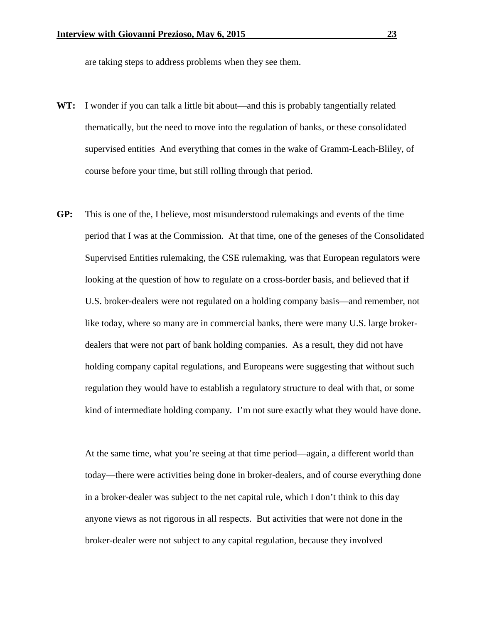are taking steps to address problems when they see them.

- **WT:** I wonder if you can talk a little bit about—and this is probably tangentially related thematically, but the need to move into the regulation of banks, or these consolidated supervised entities And everything that comes in the wake of Gramm-Leach-Bliley, of course before your time, but still rolling through that period.
- **GP:** This is one of the, I believe, most misunderstood rulemakings and events of the time period that I was at the Commission. At that time, one of the geneses of the Consolidated Supervised Entities rulemaking, the CSE rulemaking, was that European regulators were looking at the question of how to regulate on a cross-border basis, and believed that if U.S. broker-dealers were not regulated on a holding company basis—and remember, not like today, where so many are in commercial banks, there were many U.S. large brokerdealers that were not part of bank holding companies. As a result, they did not have holding company capital regulations, and Europeans were suggesting that without such regulation they would have to establish a regulatory structure to deal with that, or some kind of intermediate holding company. I'm not sure exactly what they would have done.

At the same time, what you're seeing at that time period—again, a different world than today—there were activities being done in broker-dealers, and of course everything done in a broker-dealer was subject to the net capital rule, which I don't think to this day anyone views as not rigorous in all respects. But activities that were not done in the broker-dealer were not subject to any capital regulation, because they involved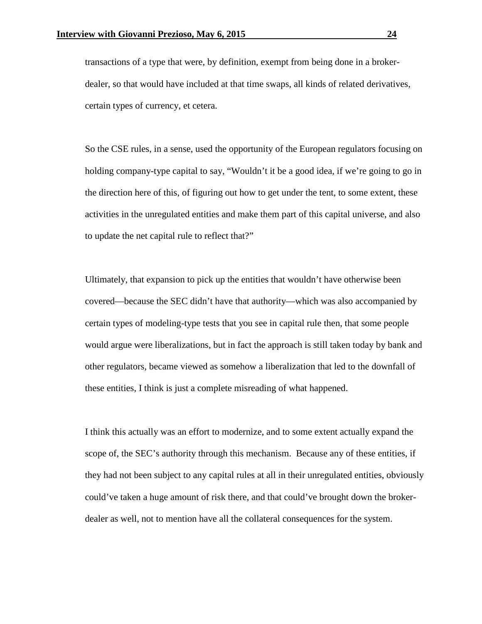transactions of a type that were, by definition, exempt from being done in a brokerdealer, so that would have included at that time swaps, all kinds of related derivatives, certain types of currency, et cetera.

So the CSE rules, in a sense, used the opportunity of the European regulators focusing on holding company-type capital to say, "Wouldn't it be a good idea, if we're going to go in the direction here of this, of figuring out how to get under the tent, to some extent, these activities in the unregulated entities and make them part of this capital universe, and also to update the net capital rule to reflect that?"

Ultimately, that expansion to pick up the entities that wouldn't have otherwise been covered—because the SEC didn't have that authority—which was also accompanied by certain types of modeling-type tests that you see in capital rule then, that some people would argue were liberalizations, but in fact the approach is still taken today by bank and other regulators, became viewed as somehow a liberalization that led to the downfall of these entities, I think is just a complete misreading of what happened.

I think this actually was an effort to modernize, and to some extent actually expand the scope of, the SEC's authority through this mechanism. Because any of these entities, if they had not been subject to any capital rules at all in their unregulated entities, obviously could've taken a huge amount of risk there, and that could've brought down the brokerdealer as well, not to mention have all the collateral consequences for the system.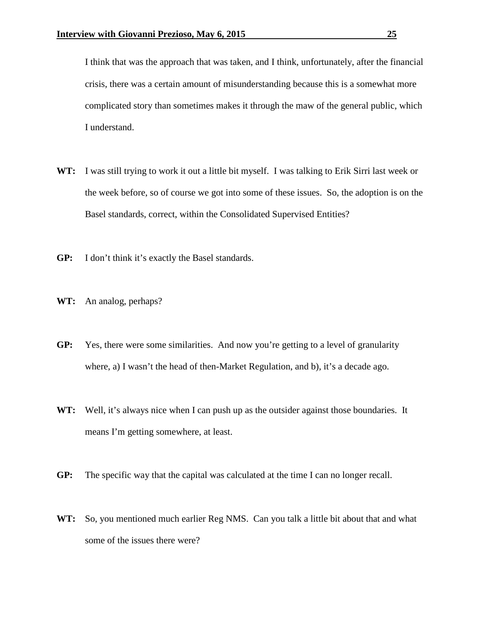I think that was the approach that was taken, and I think, unfortunately, after the financial crisis, there was a certain amount of misunderstanding because this is a somewhat more complicated story than sometimes makes it through the maw of the general public, which I understand.

- **WT:** I was still trying to work it out a little bit myself. I was talking to Erik Sirri last week or the week before, so of course we got into some of these issues. So, the adoption is on the Basel standards, correct, within the Consolidated Supervised Entities?
- **GP:** I don't think it's exactly the Basel standards.
- **WT:** An analog, perhaps?
- **GP:** Yes, there were some similarities. And now you're getting to a level of granularity where, a) I wasn't the head of then-Market Regulation, and b), it's a decade ago.
- **WT:** Well, it's always nice when I can push up as the outsider against those boundaries. It means I'm getting somewhere, at least.
- **GP:** The specific way that the capital was calculated at the time I can no longer recall.
- **WT:** So, you mentioned much earlier Reg NMS. Can you talk a little bit about that and what some of the issues there were?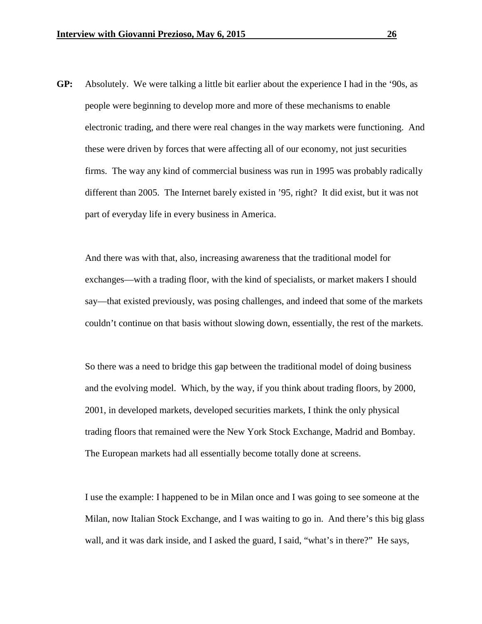**GP:** Absolutely. We were talking a little bit earlier about the experience I had in the '90s, as people were beginning to develop more and more of these mechanisms to enable electronic trading, and there were real changes in the way markets were functioning. And these were driven by forces that were affecting all of our economy, not just securities firms. The way any kind of commercial business was run in 1995 was probably radically different than 2005. The Internet barely existed in '95, right? It did exist, but it was not part of everyday life in every business in America.

And there was with that, also, increasing awareness that the traditional model for exchanges—with a trading floor, with the kind of specialists, or market makers I should say—that existed previously, was posing challenges, and indeed that some of the markets couldn't continue on that basis without slowing down, essentially, the rest of the markets.

So there was a need to bridge this gap between the traditional model of doing business and the evolving model. Which, by the way, if you think about trading floors, by 2000, 2001, in developed markets, developed securities markets, I think the only physical trading floors that remained were the New York Stock Exchange, Madrid and Bombay. The European markets had all essentially become totally done at screens.

I use the example: I happened to be in Milan once and I was going to see someone at the Milan, now Italian Stock Exchange, and I was waiting to go in. And there's this big glass wall, and it was dark inside, and I asked the guard, I said, "what's in there?" He says,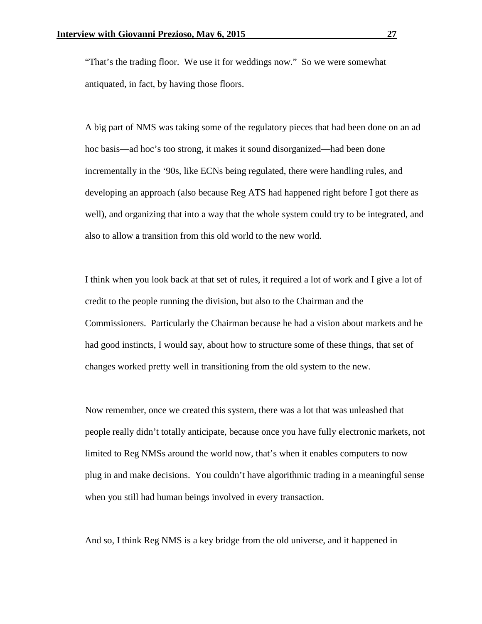"That's the trading floor. We use it for weddings now." So we were somewhat antiquated, in fact, by having those floors.

A big part of NMS was taking some of the regulatory pieces that had been done on an ad hoc basis—ad hoc's too strong, it makes it sound disorganized—had been done incrementally in the '90s, like ECNs being regulated, there were handling rules, and developing an approach (also because Reg ATS had happened right before I got there as well), and organizing that into a way that the whole system could try to be integrated, and also to allow a transition from this old world to the new world.

I think when you look back at that set of rules, it required a lot of work and I give a lot of credit to the people running the division, but also to the Chairman and the Commissioners. Particularly the Chairman because he had a vision about markets and he had good instincts, I would say, about how to structure some of these things, that set of changes worked pretty well in transitioning from the old system to the new.

Now remember, once we created this system, there was a lot that was unleashed that people really didn't totally anticipate, because once you have fully electronic markets, not limited to Reg NMSs around the world now, that's when it enables computers to now plug in and make decisions. You couldn't have algorithmic trading in a meaningful sense when you still had human beings involved in every transaction.

And so, I think Reg NMS is a key bridge from the old universe, and it happened in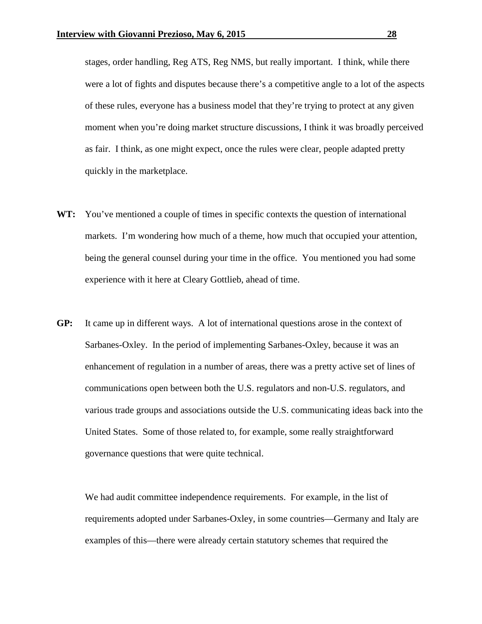stages, order handling, Reg ATS, Reg NMS, but really important. I think, while there were a lot of fights and disputes because there's a competitive angle to a lot of the aspects of these rules, everyone has a business model that they're trying to protect at any given moment when you're doing market structure discussions, I think it was broadly perceived as fair. I think, as one might expect, once the rules were clear, people adapted pretty quickly in the marketplace.

- **WT:** You've mentioned a couple of times in specific contexts the question of international markets. I'm wondering how much of a theme, how much that occupied your attention, being the general counsel during your time in the office. You mentioned you had some experience with it here at Cleary Gottlieb, ahead of time.
- **GP:** It came up in different ways. A lot of international questions arose in the context of Sarbanes-Oxley. In the period of implementing Sarbanes-Oxley, because it was an enhancement of regulation in a number of areas, there was a pretty active set of lines of communications open between both the U.S. regulators and non-U.S. regulators, and various trade groups and associations outside the U.S. communicating ideas back into the United States. Some of those related to, for example, some really straightforward governance questions that were quite technical.

We had audit committee independence requirements. For example, in the list of requirements adopted under Sarbanes-Oxley, in some countries—Germany and Italy are examples of this—there were already certain statutory schemes that required the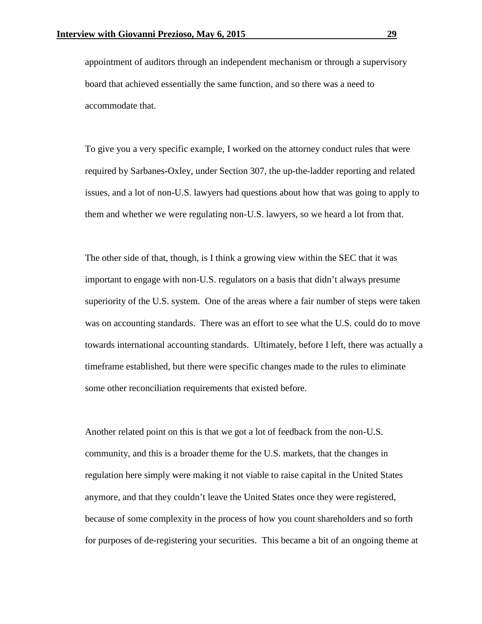appointment of auditors through an independent mechanism or through a supervisory board that achieved essentially the same function, and so there was a need to accommodate that.

To give you a very specific example, I worked on the attorney conduct rules that were required by Sarbanes-Oxley, under Section 307, the up-the-ladder reporting and related issues, and a lot of non-U.S. lawyers had questions about how that was going to apply to them and whether we were regulating non-U.S. lawyers, so we heard a lot from that.

The other side of that, though, is I think a growing view within the SEC that it was important to engage with non-U.S. regulators on a basis that didn't always presume superiority of the U.S. system. One of the areas where a fair number of steps were taken was on accounting standards. There was an effort to see what the U.S. could do to move towards international accounting standards. Ultimately, before I left, there was actually a timeframe established, but there were specific changes made to the rules to eliminate some other reconciliation requirements that existed before.

Another related point on this is that we got a lot of feedback from the non-U.S. community, and this is a broader theme for the U.S. markets, that the changes in regulation here simply were making it not viable to raise capital in the United States anymore, and that they couldn't leave the United States once they were registered, because of some complexity in the process of how you count shareholders and so forth for purposes of de-registering your securities. This became a bit of an ongoing theme at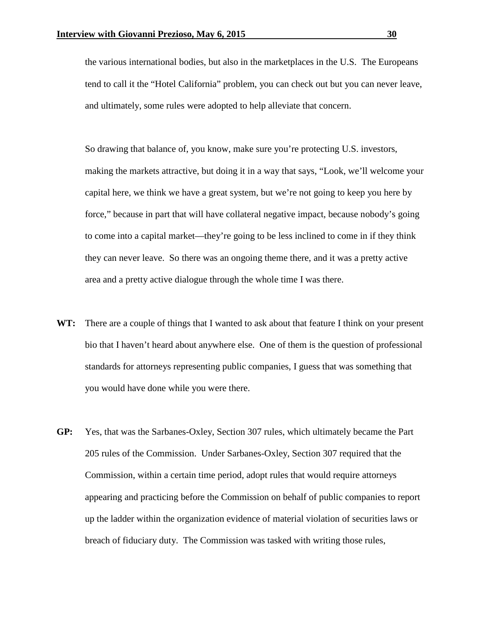the various international bodies, but also in the marketplaces in the U.S. The Europeans tend to call it the "Hotel California" problem, you can check out but you can never leave, and ultimately, some rules were adopted to help alleviate that concern.

So drawing that balance of, you know, make sure you're protecting U.S. investors, making the markets attractive, but doing it in a way that says, "Look, we'll welcome your capital here, we think we have a great system, but we're not going to keep you here by force," because in part that will have collateral negative impact, because nobody's going to come into a capital market—they're going to be less inclined to come in if they think they can never leave. So there was an ongoing theme there, and it was a pretty active area and a pretty active dialogue through the whole time I was there.

- **WT:** There are a couple of things that I wanted to ask about that feature I think on your present bio that I haven't heard about anywhere else. One of them is the question of professional standards for attorneys representing public companies, I guess that was something that you would have done while you were there.
- **GP:** Yes, that was the Sarbanes-Oxley, Section 307 rules, which ultimately became the Part 205 rules of the Commission. Under Sarbanes-Oxley, Section 307 required that the Commission, within a certain time period, adopt rules that would require attorneys appearing and practicing before the Commission on behalf of public companies to report up the ladder within the organization evidence of material violation of securities laws or breach of fiduciary duty. The Commission was tasked with writing those rules,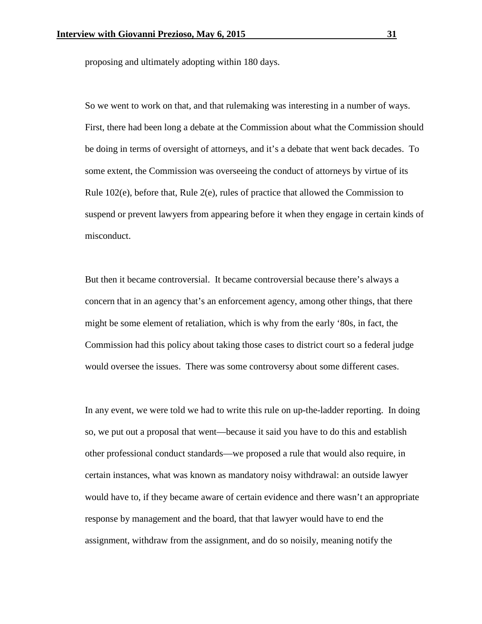proposing and ultimately adopting within 180 days.

So we went to work on that, and that rulemaking was interesting in a number of ways. First, there had been long a debate at the Commission about what the Commission should be doing in terms of oversight of attorneys, and it's a debate that went back decades. To some extent, the Commission was overseeing the conduct of attorneys by virtue of its Rule 102(e), before that, Rule 2(e), rules of practice that allowed the Commission to suspend or prevent lawyers from appearing before it when they engage in certain kinds of misconduct.

But then it became controversial. It became controversial because there's always a concern that in an agency that's an enforcement agency, among other things, that there might be some element of retaliation, which is why from the early '80s, in fact, the Commission had this policy about taking those cases to district court so a federal judge would oversee the issues. There was some controversy about some different cases.

In any event, we were told we had to write this rule on up-the-ladder reporting. In doing so, we put out a proposal that went—because it said you have to do this and establish other professional conduct standards—we proposed a rule that would also require, in certain instances, what was known as mandatory noisy withdrawal: an outside lawyer would have to, if they became aware of certain evidence and there wasn't an appropriate response by management and the board, that that lawyer would have to end the assignment, withdraw from the assignment, and do so noisily, meaning notify the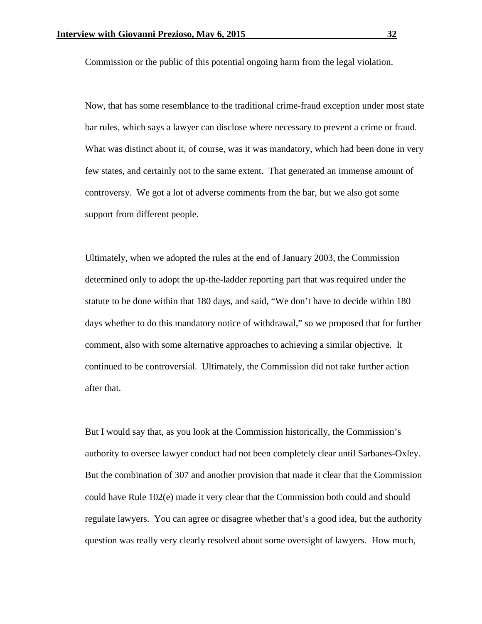Commission or the public of this potential ongoing harm from the legal violation.

Now, that has some resemblance to the traditional crime-fraud exception under most state bar rules, which says a lawyer can disclose where necessary to prevent a crime or fraud. What was distinct about it, of course, was it was mandatory, which had been done in very few states, and certainly not to the same extent. That generated an immense amount of controversy. We got a lot of adverse comments from the bar, but we also got some support from different people.

Ultimately, when we adopted the rules at the end of January 2003, the Commission determined only to adopt the up-the-ladder reporting part that was required under the statute to be done within that 180 days, and said, "We don't have to decide within 180 days whether to do this mandatory notice of withdrawal," so we proposed that for further comment, also with some alternative approaches to achieving a similar objective. It continued to be controversial. Ultimately, the Commission did not take further action after that.

But I would say that, as you look at the Commission historically, the Commission's authority to oversee lawyer conduct had not been completely clear until Sarbanes-Oxley. But the combination of 307 and another provision that made it clear that the Commission could have Rule 102(e) made it very clear that the Commission both could and should regulate lawyers. You can agree or disagree whether that's a good idea, but the authority question was really very clearly resolved about some oversight of lawyers. How much,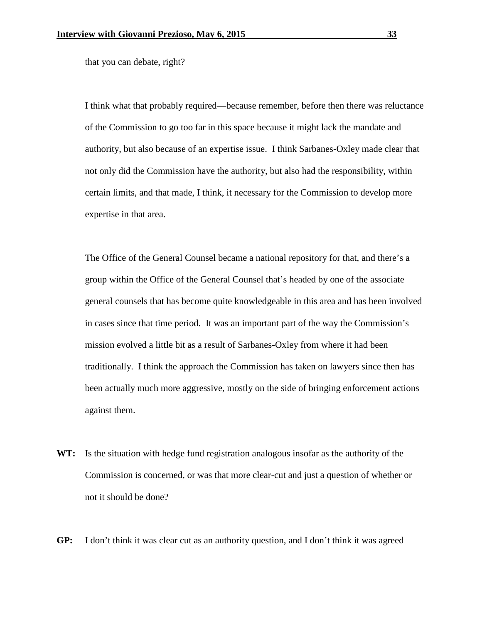that you can debate, right?

I think what that probably required—because remember, before then there was reluctance of the Commission to go too far in this space because it might lack the mandate and authority, but also because of an expertise issue. I think Sarbanes-Oxley made clear that not only did the Commission have the authority, but also had the responsibility, within certain limits, and that made, I think, it necessary for the Commission to develop more expertise in that area.

The Office of the General Counsel became a national repository for that, and there's a group within the Office of the General Counsel that's headed by one of the associate general counsels that has become quite knowledgeable in this area and has been involved in cases since that time period. It was an important part of the way the Commission's mission evolved a little bit as a result of Sarbanes-Oxley from where it had been traditionally. I think the approach the Commission has taken on lawyers since then has been actually much more aggressive, mostly on the side of bringing enforcement actions against them.

- **WT:** Is the situation with hedge fund registration analogous insofar as the authority of the Commission is concerned, or was that more clear-cut and just a question of whether or not it should be done?
- **GP:** I don't think it was clear cut as an authority question, and I don't think it was agreed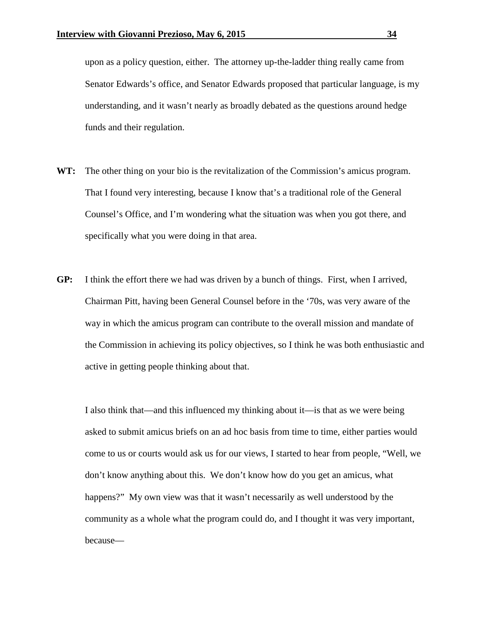upon as a policy question, either. The attorney up-the-ladder thing really came from Senator Edwards's office, and Senator Edwards proposed that particular language, is my understanding, and it wasn't nearly as broadly debated as the questions around hedge funds and their regulation.

- **WT:** The other thing on your bio is the revitalization of the Commission's amicus program. That I found very interesting, because I know that's a traditional role of the General Counsel's Office, and I'm wondering what the situation was when you got there, and specifically what you were doing in that area.
- **GP:** I think the effort there we had was driven by a bunch of things. First, when I arrived, Chairman Pitt, having been General Counsel before in the '70s, was very aware of the way in which the amicus program can contribute to the overall mission and mandate of the Commission in achieving its policy objectives, so I think he was both enthusiastic and active in getting people thinking about that.

I also think that—and this influenced my thinking about it—is that as we were being asked to submit amicus briefs on an ad hoc basis from time to time, either parties would come to us or courts would ask us for our views, I started to hear from people, "Well, we don't know anything about this. We don't know how do you get an amicus, what happens?" My own view was that it wasn't necessarily as well understood by the community as a whole what the program could do, and I thought it was very important, because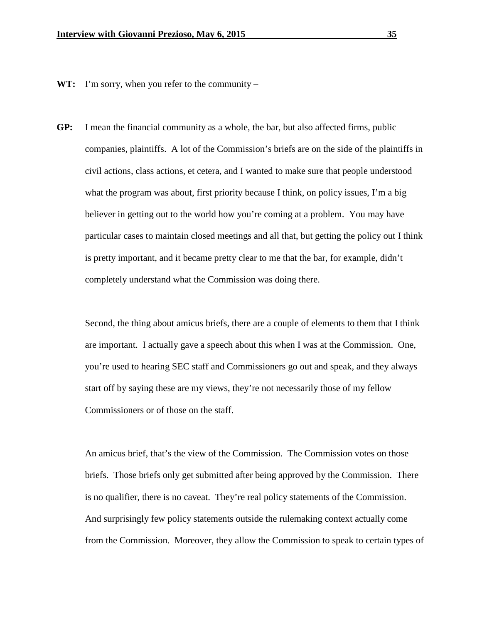**WT:** I'm sorry, when you refer to the community –

**GP:** I mean the financial community as a whole, the bar, but also affected firms, public companies, plaintiffs. A lot of the Commission's briefs are on the side of the plaintiffs in civil actions, class actions, et cetera, and I wanted to make sure that people understood what the program was about, first priority because I think, on policy issues, I'm a big believer in getting out to the world how you're coming at a problem. You may have particular cases to maintain closed meetings and all that, but getting the policy out I think is pretty important, and it became pretty clear to me that the bar, for example, didn't completely understand what the Commission was doing there.

Second, the thing about amicus briefs, there are a couple of elements to them that I think are important. I actually gave a speech about this when I was at the Commission. One, you're used to hearing SEC staff and Commissioners go out and speak, and they always start off by saying these are my views, they're not necessarily those of my fellow Commissioners or of those on the staff.

An amicus brief, that's the view of the Commission. The Commission votes on those briefs. Those briefs only get submitted after being approved by the Commission. There is no qualifier, there is no caveat. They're real policy statements of the Commission. And surprisingly few policy statements outside the rulemaking context actually come from the Commission. Moreover, they allow the Commission to speak to certain types of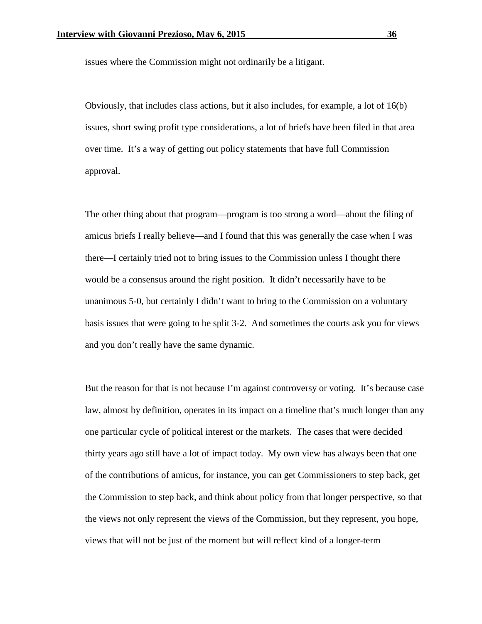issues where the Commission might not ordinarily be a litigant.

Obviously, that includes class actions, but it also includes, for example, a lot of 16(b) issues, short swing profit type considerations, a lot of briefs have been filed in that area over time. It's a way of getting out policy statements that have full Commission approval.

The other thing about that program—program is too strong a word—about the filing of amicus briefs I really believe—and I found that this was generally the case when I was there—I certainly tried not to bring issues to the Commission unless I thought there would be a consensus around the right position. It didn't necessarily have to be unanimous 5-0, but certainly I didn't want to bring to the Commission on a voluntary basis issues that were going to be split 3-2. And sometimes the courts ask you for views and you don't really have the same dynamic.

But the reason for that is not because I'm against controversy or voting. It's because case law, almost by definition, operates in its impact on a timeline that's much longer than any one particular cycle of political interest or the markets. The cases that were decided thirty years ago still have a lot of impact today. My own view has always been that one of the contributions of amicus, for instance, you can get Commissioners to step back, get the Commission to step back, and think about policy from that longer perspective, so that the views not only represent the views of the Commission, but they represent, you hope, views that will not be just of the moment but will reflect kind of a longer-term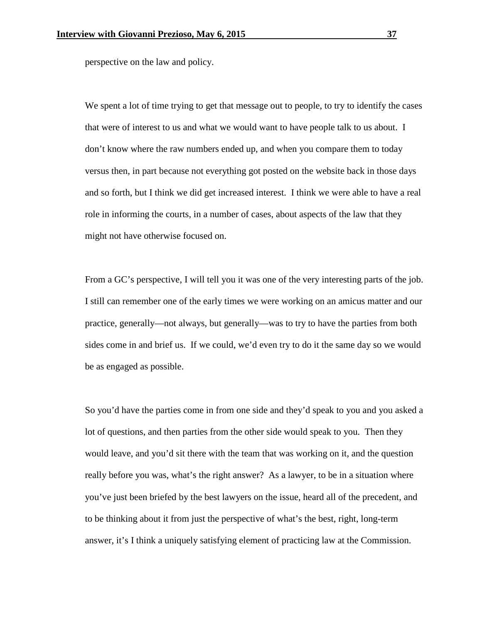perspective on the law and policy.

We spent a lot of time trying to get that message out to people, to try to identify the cases that were of interest to us and what we would want to have people talk to us about. I don't know where the raw numbers ended up, and when you compare them to today versus then, in part because not everything got posted on the website back in those days and so forth, but I think we did get increased interest. I think we were able to have a real role in informing the courts, in a number of cases, about aspects of the law that they might not have otherwise focused on.

From a GC's perspective, I will tell you it was one of the very interesting parts of the job. I still can remember one of the early times we were working on an amicus matter and our practice, generally—not always, but generally—was to try to have the parties from both sides come in and brief us. If we could, we'd even try to do it the same day so we would be as engaged as possible.

So you'd have the parties come in from one side and they'd speak to you and you asked a lot of questions, and then parties from the other side would speak to you. Then they would leave, and you'd sit there with the team that was working on it, and the question really before you was, what's the right answer? As a lawyer, to be in a situation where you've just been briefed by the best lawyers on the issue, heard all of the precedent, and to be thinking about it from just the perspective of what's the best, right, long-term answer, it's I think a uniquely satisfying element of practicing law at the Commission.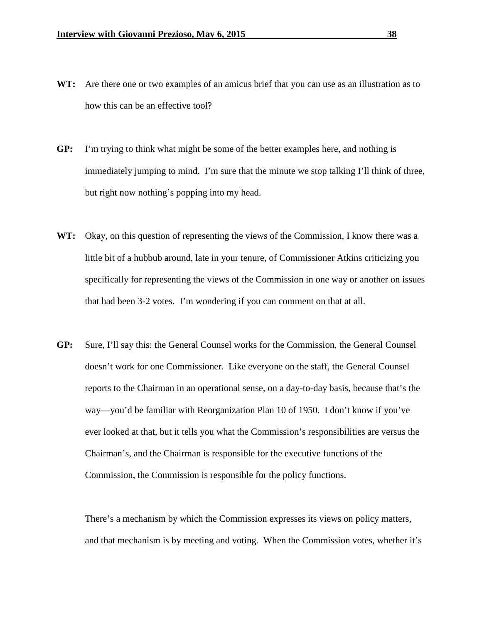- **WT:** Are there one or two examples of an amicus brief that you can use as an illustration as to how this can be an effective tool?
- **GP:** I'm trying to think what might be some of the better examples here, and nothing is immediately jumping to mind. I'm sure that the minute we stop talking I'll think of three, but right now nothing's popping into my head.
- **WT:** Okay, on this question of representing the views of the Commission, I know there was a little bit of a hubbub around, late in your tenure, of Commissioner Atkins criticizing you specifically for representing the views of the Commission in one way or another on issues that had been 3-2 votes. I'm wondering if you can comment on that at all.
- **GP:** Sure, I'll say this: the General Counsel works for the Commission, the General Counsel doesn't work for one Commissioner. Like everyone on the staff, the General Counsel reports to the Chairman in an operational sense, on a day-to-day basis, because that's the way—you'd be familiar with Reorganization Plan 10 of 1950. I don't know if you've ever looked at that, but it tells you what the Commission's responsibilities are versus the Chairman's, and the Chairman is responsible for the executive functions of the Commission, the Commission is responsible for the policy functions.

There's a mechanism by which the Commission expresses its views on policy matters, and that mechanism is by meeting and voting. When the Commission votes, whether it's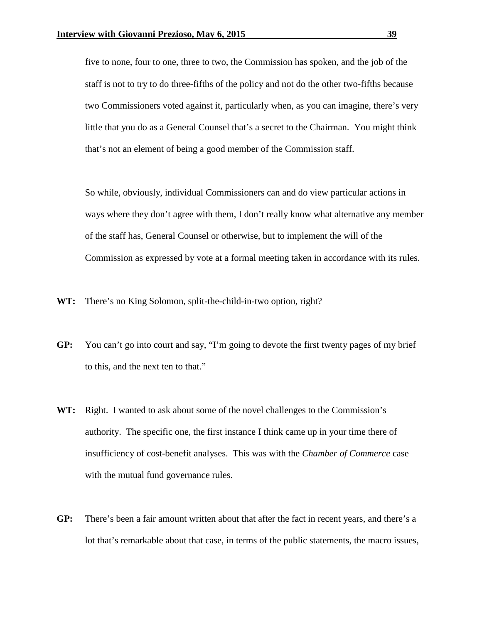five to none, four to one, three to two, the Commission has spoken, and the job of the staff is not to try to do three-fifths of the policy and not do the other two-fifths because two Commissioners voted against it, particularly when, as you can imagine, there's very little that you do as a General Counsel that's a secret to the Chairman. You might think that's not an element of being a good member of the Commission staff.

So while, obviously, individual Commissioners can and do view particular actions in ways where they don't agree with them, I don't really know what alternative any member of the staff has, General Counsel or otherwise, but to implement the will of the Commission as expressed by vote at a formal meeting taken in accordance with its rules.

- **WT:** There's no King Solomon, split-the-child-in-two option, right?
- **GP:** You can't go into court and say, "I'm going to devote the first twenty pages of my brief to this, and the next ten to that."
- **WT:** Right. I wanted to ask about some of the novel challenges to the Commission's authority. The specific one, the first instance I think came up in your time there of insufficiency of cost-benefit analyses. This was with the *Chamber of Commerce* case with the mutual fund governance rules.
- **GP:** There's been a fair amount written about that after the fact in recent years, and there's a lot that's remarkable about that case, in terms of the public statements, the macro issues,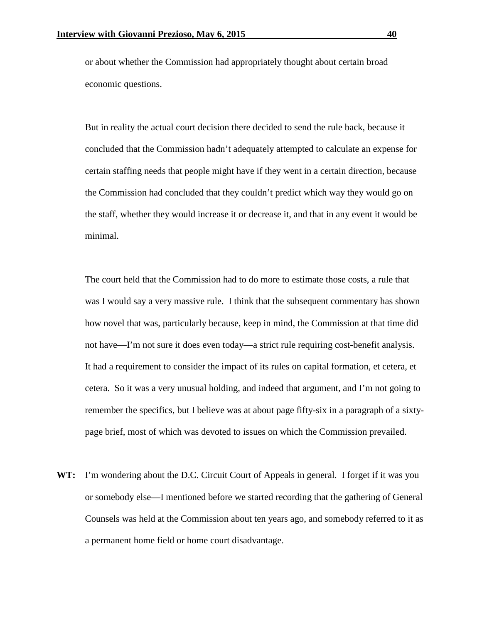or about whether the Commission had appropriately thought about certain broad economic questions.

But in reality the actual court decision there decided to send the rule back, because it concluded that the Commission hadn't adequately attempted to calculate an expense for certain staffing needs that people might have if they went in a certain direction, because the Commission had concluded that they couldn't predict which way they would go on the staff, whether they would increase it or decrease it, and that in any event it would be minimal.

The court held that the Commission had to do more to estimate those costs, a rule that was I would say a very massive rule. I think that the subsequent commentary has shown how novel that was, particularly because, keep in mind, the Commission at that time did not have—I'm not sure it does even today—a strict rule requiring cost-benefit analysis. It had a requirement to consider the impact of its rules on capital formation, et cetera, et cetera. So it was a very unusual holding, and indeed that argument, and I'm not going to remember the specifics, but I believe was at about page fifty-six in a paragraph of a sixtypage brief, most of which was devoted to issues on which the Commission prevailed.

**WT:** I'm wondering about the D.C. Circuit Court of Appeals in general. I forget if it was you or somebody else—I mentioned before we started recording that the gathering of General Counsels was held at the Commission about ten years ago, and somebody referred to it as a permanent home field or home court disadvantage.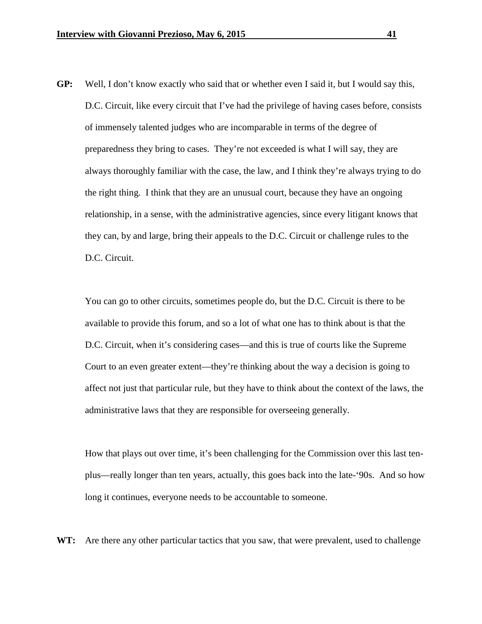**GP:** Well, I don't know exactly who said that or whether even I said it, but I would say this, D.C. Circuit, like every circuit that I've had the privilege of having cases before, consists of immensely talented judges who are incomparable in terms of the degree of preparedness they bring to cases. They're not exceeded is what I will say, they are always thoroughly familiar with the case, the law, and I think they're always trying to do the right thing. I think that they are an unusual court, because they have an ongoing relationship, in a sense, with the administrative agencies, since every litigant knows that they can, by and large, bring their appeals to the D.C. Circuit or challenge rules to the D.C. Circuit.

You can go to other circuits, sometimes people do, but the D.C. Circuit is there to be available to provide this forum, and so a lot of what one has to think about is that the D.C. Circuit, when it's considering cases—and this is true of courts like the Supreme Court to an even greater extent—they're thinking about the way a decision is going to affect not just that particular rule, but they have to think about the context of the laws, the administrative laws that they are responsible for overseeing generally.

How that plays out over time, it's been challenging for the Commission over this last tenplus—really longer than ten years, actually, this goes back into the late-'90s. And so how long it continues, everyone needs to be accountable to someone.

**WT:** Are there any other particular tactics that you saw, that were prevalent, used to challenge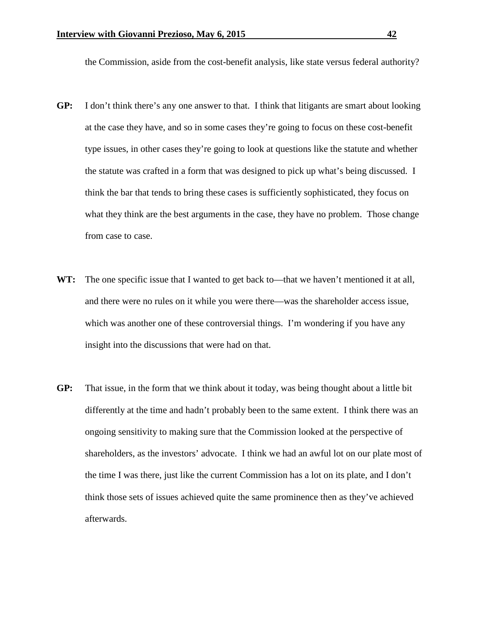the Commission, aside from the cost-benefit analysis, like state versus federal authority?

- **GP:** I don't think there's any one answer to that. I think that litigants are smart about looking at the case they have, and so in some cases they're going to focus on these cost-benefit type issues, in other cases they're going to look at questions like the statute and whether the statute was crafted in a form that was designed to pick up what's being discussed. I think the bar that tends to bring these cases is sufficiently sophisticated, they focus on what they think are the best arguments in the case, they have no problem. Those change from case to case.
- WT: The one specific issue that I wanted to get back to—that we haven't mentioned it at all, and there were no rules on it while you were there—was the shareholder access issue, which was another one of these controversial things. I'm wondering if you have any insight into the discussions that were had on that.
- **GP:** That issue, in the form that we think about it today, was being thought about a little bit differently at the time and hadn't probably been to the same extent. I think there was an ongoing sensitivity to making sure that the Commission looked at the perspective of shareholders, as the investors' advocate. I think we had an awful lot on our plate most of the time I was there, just like the current Commission has a lot on its plate, and I don't think those sets of issues achieved quite the same prominence then as they've achieved afterwards.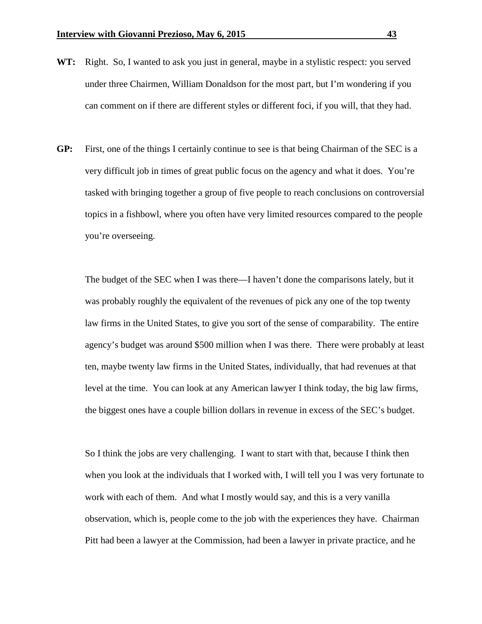- **WT:** Right. So, I wanted to ask you just in general, maybe in a stylistic respect: you served under three Chairmen, William Donaldson for the most part, but I'm wondering if you can comment on if there are different styles or different foci, if you will, that they had.
- **GP:** First, one of the things I certainly continue to see is that being Chairman of the SEC is a very difficult job in times of great public focus on the agency and what it does. You're tasked with bringing together a group of five people to reach conclusions on controversial topics in a fishbowl, where you often have very limited resources compared to the people you're overseeing.

The budget of the SEC when I was there—I haven't done the comparisons lately, but it was probably roughly the equivalent of the revenues of pick any one of the top twenty law firms in the United States, to give you sort of the sense of comparability. The entire agency's budget was around \$500 million when I was there. There were probably at least ten, maybe twenty law firms in the United States, individually, that had revenues at that level at the time. You can look at any American lawyer I think today, the big law firms, the biggest ones have a couple billion dollars in revenue in excess of the SEC's budget.

So I think the jobs are very challenging. I want to start with that, because I think then when you look at the individuals that I worked with, I will tell you I was very fortunate to work with each of them. And what I mostly would say, and this is a very vanilla observation, which is, people come to the job with the experiences they have. Chairman Pitt had been a lawyer at the Commission, had been a lawyer in private practice, and he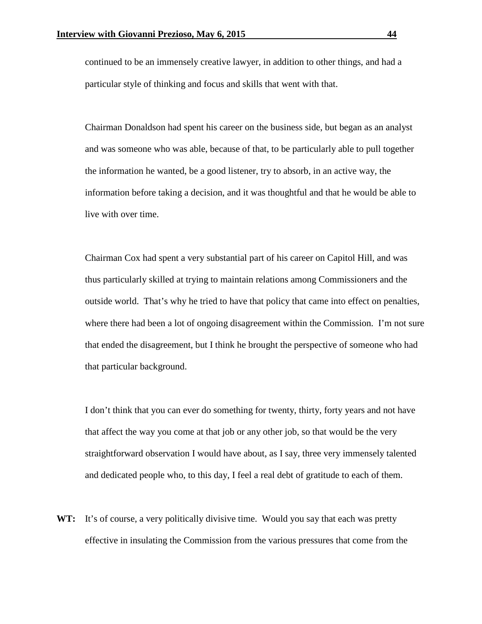continued to be an immensely creative lawyer, in addition to other things, and had a particular style of thinking and focus and skills that went with that.

Chairman Donaldson had spent his career on the business side, but began as an analyst and was someone who was able, because of that, to be particularly able to pull together the information he wanted, be a good listener, try to absorb, in an active way, the information before taking a decision, and it was thoughtful and that he would be able to live with over time.

Chairman Cox had spent a very substantial part of his career on Capitol Hill, and was thus particularly skilled at trying to maintain relations among Commissioners and the outside world. That's why he tried to have that policy that came into effect on penalties, where there had been a lot of ongoing disagreement within the Commission. I'm not sure that ended the disagreement, but I think he brought the perspective of someone who had that particular background.

I don't think that you can ever do something for twenty, thirty, forty years and not have that affect the way you come at that job or any other job, so that would be the very straightforward observation I would have about, as I say, three very immensely talented and dedicated people who, to this day, I feel a real debt of gratitude to each of them.

**WT:** It's of course, a very politically divisive time. Would you say that each was pretty effective in insulating the Commission from the various pressures that come from the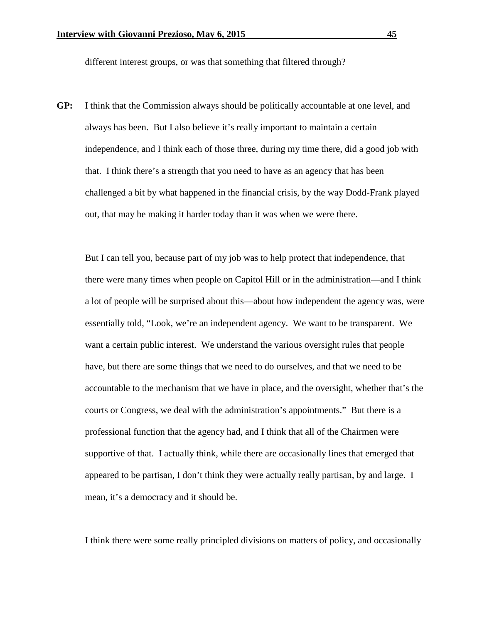different interest groups, or was that something that filtered through?

**GP:** I think that the Commission always should be politically accountable at one level, and always has been. But I also believe it's really important to maintain a certain independence, and I think each of those three, during my time there, did a good job with that. I think there's a strength that you need to have as an agency that has been challenged a bit by what happened in the financial crisis, by the way Dodd-Frank played out, that may be making it harder today than it was when we were there.

But I can tell you, because part of my job was to help protect that independence, that there were many times when people on Capitol Hill or in the administration—and I think a lot of people will be surprised about this—about how independent the agency was, were essentially told, "Look, we're an independent agency. We want to be transparent. We want a certain public interest. We understand the various oversight rules that people have, but there are some things that we need to do ourselves, and that we need to be accountable to the mechanism that we have in place, and the oversight, whether that's the courts or Congress, we deal with the administration's appointments." But there is a professional function that the agency had, and I think that all of the Chairmen were supportive of that. I actually think, while there are occasionally lines that emerged that appeared to be partisan, I don't think they were actually really partisan, by and large. I mean, it's a democracy and it should be.

I think there were some really principled divisions on matters of policy, and occasionally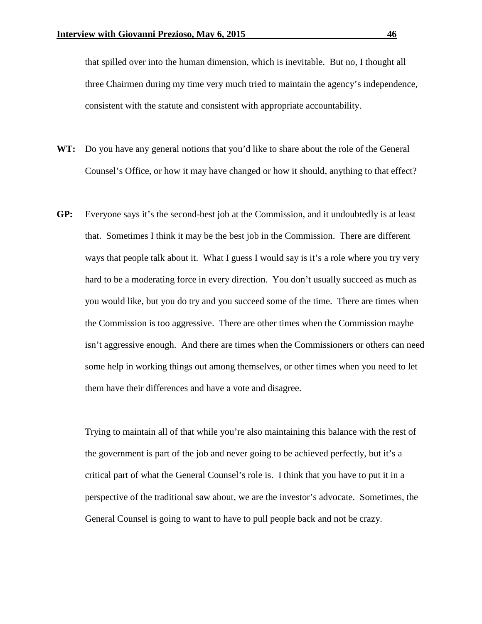that spilled over into the human dimension, which is inevitable. But no, I thought all three Chairmen during my time very much tried to maintain the agency's independence, consistent with the statute and consistent with appropriate accountability.

- **WT:** Do you have any general notions that you'd like to share about the role of the General Counsel's Office, or how it may have changed or how it should, anything to that effect?
- **GP:** Everyone says it's the second-best job at the Commission, and it undoubtedly is at least that. Sometimes I think it may be the best job in the Commission. There are different ways that people talk about it. What I guess I would say is it's a role where you try very hard to be a moderating force in every direction. You don't usually succeed as much as you would like, but you do try and you succeed some of the time. There are times when the Commission is too aggressive. There are other times when the Commission maybe isn't aggressive enough. And there are times when the Commissioners or others can need some help in working things out among themselves, or other times when you need to let them have their differences and have a vote and disagree.

Trying to maintain all of that while you're also maintaining this balance with the rest of the government is part of the job and never going to be achieved perfectly, but it's a critical part of what the General Counsel's role is. I think that you have to put it in a perspective of the traditional saw about, we are the investor's advocate. Sometimes, the General Counsel is going to want to have to pull people back and not be crazy.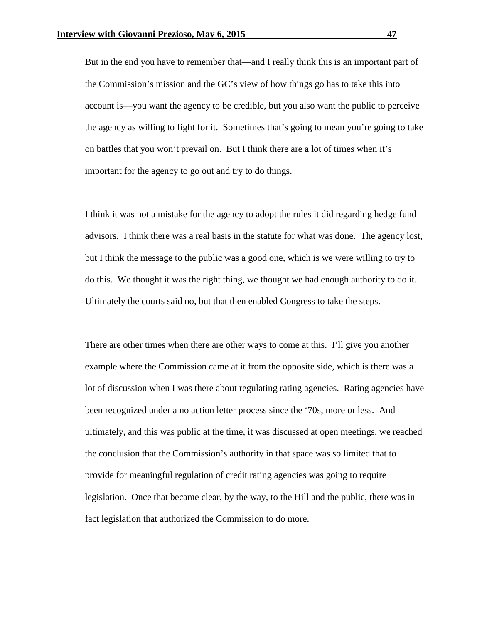But in the end you have to remember that—and I really think this is an important part of the Commission's mission and the GC's view of how things go has to take this into account is—you want the agency to be credible, but you also want the public to perceive the agency as willing to fight for it. Sometimes that's going to mean you're going to take on battles that you won't prevail on. But I think there are a lot of times when it's important for the agency to go out and try to do things.

I think it was not a mistake for the agency to adopt the rules it did regarding hedge fund advisors. I think there was a real basis in the statute for what was done. The agency lost, but I think the message to the public was a good one, which is we were willing to try to do this. We thought it was the right thing, we thought we had enough authority to do it. Ultimately the courts said no, but that then enabled Congress to take the steps.

There are other times when there are other ways to come at this. I'll give you another example where the Commission came at it from the opposite side, which is there was a lot of discussion when I was there about regulating rating agencies. Rating agencies have been recognized under a no action letter process since the '70s, more or less. And ultimately, and this was public at the time, it was discussed at open meetings, we reached the conclusion that the Commission's authority in that space was so limited that to provide for meaningful regulation of credit rating agencies was going to require legislation. Once that became clear, by the way, to the Hill and the public, there was in fact legislation that authorized the Commission to do more.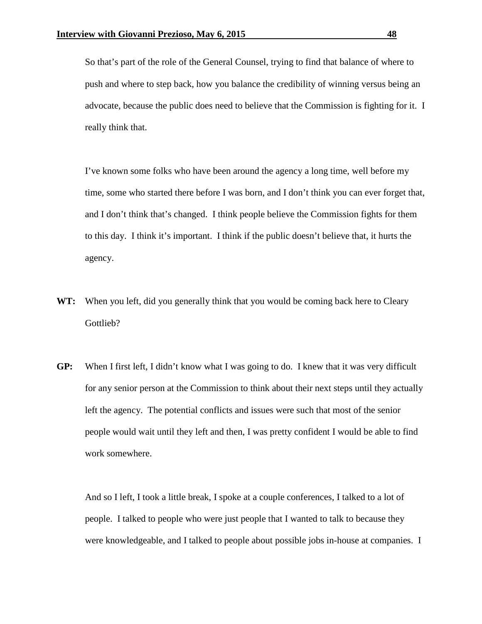So that's part of the role of the General Counsel, trying to find that balance of where to push and where to step back, how you balance the credibility of winning versus being an advocate, because the public does need to believe that the Commission is fighting for it. I really think that.

I've known some folks who have been around the agency a long time, well before my time, some who started there before I was born, and I don't think you can ever forget that, and I don't think that's changed. I think people believe the Commission fights for them to this day. I think it's important. I think if the public doesn't believe that, it hurts the agency.

- **WT:** When you left, did you generally think that you would be coming back here to Cleary Gottlieb?
- **GP:** When I first left, I didn't know what I was going to do. I knew that it was very difficult for any senior person at the Commission to think about their next steps until they actually left the agency. The potential conflicts and issues were such that most of the senior people would wait until they left and then, I was pretty confident I would be able to find work somewhere.

And so I left, I took a little break, I spoke at a couple conferences, I talked to a lot of people. I talked to people who were just people that I wanted to talk to because they were knowledgeable, and I talked to people about possible jobs in-house at companies. I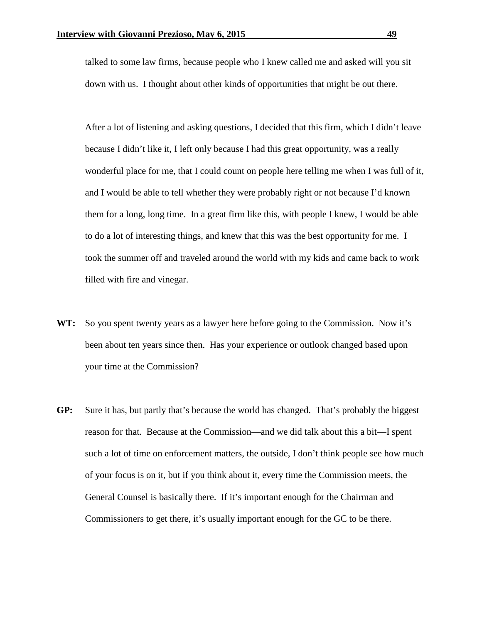talked to some law firms, because people who I knew called me and asked will you sit down with us. I thought about other kinds of opportunities that might be out there.

After a lot of listening and asking questions, I decided that this firm, which I didn't leave because I didn't like it, I left only because I had this great opportunity, was a really wonderful place for me, that I could count on people here telling me when I was full of it, and I would be able to tell whether they were probably right or not because I'd known them for a long, long time. In a great firm like this, with people I knew, I would be able to do a lot of interesting things, and knew that this was the best opportunity for me. I took the summer off and traveled around the world with my kids and came back to work filled with fire and vinegar.

- **WT:** So you spent twenty years as a lawyer here before going to the Commission. Now it's been about ten years since then. Has your experience or outlook changed based upon your time at the Commission?
- **GP:** Sure it has, but partly that's because the world has changed. That's probably the biggest reason for that. Because at the Commission—and we did talk about this a bit—I spent such a lot of time on enforcement matters, the outside, I don't think people see how much of your focus is on it, but if you think about it, every time the Commission meets, the General Counsel is basically there. If it's important enough for the Chairman and Commissioners to get there, it's usually important enough for the GC to be there.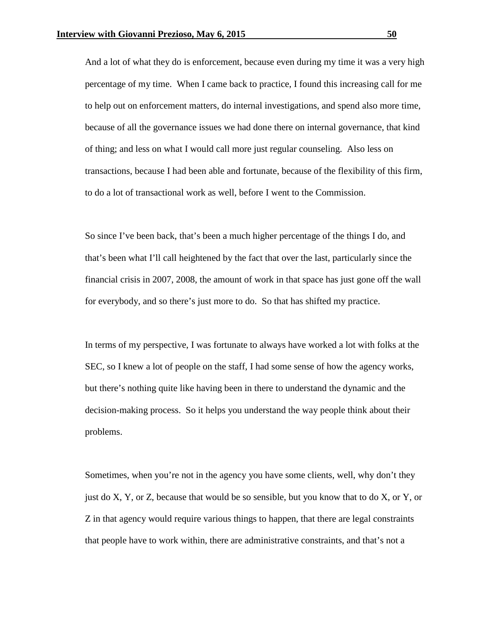And a lot of what they do is enforcement, because even during my time it was a very high percentage of my time. When I came back to practice, I found this increasing call for me to help out on enforcement matters, do internal investigations, and spend also more time, because of all the governance issues we had done there on internal governance, that kind of thing; and less on what I would call more just regular counseling. Also less on transactions, because I had been able and fortunate, because of the flexibility of this firm, to do a lot of transactional work as well, before I went to the Commission.

So since I've been back, that's been a much higher percentage of the things I do, and that's been what I'll call heightened by the fact that over the last, particularly since the financial crisis in 2007, 2008, the amount of work in that space has just gone off the wall for everybody, and so there's just more to do. So that has shifted my practice.

In terms of my perspective, I was fortunate to always have worked a lot with folks at the SEC, so I knew a lot of people on the staff, I had some sense of how the agency works, but there's nothing quite like having been in there to understand the dynamic and the decision-making process. So it helps you understand the way people think about their problems.

Sometimes, when you're not in the agency you have some clients, well, why don't they just do X, Y, or Z, because that would be so sensible, but you know that to do X, or Y, or Z in that agency would require various things to happen, that there are legal constraints that people have to work within, there are administrative constraints, and that's not a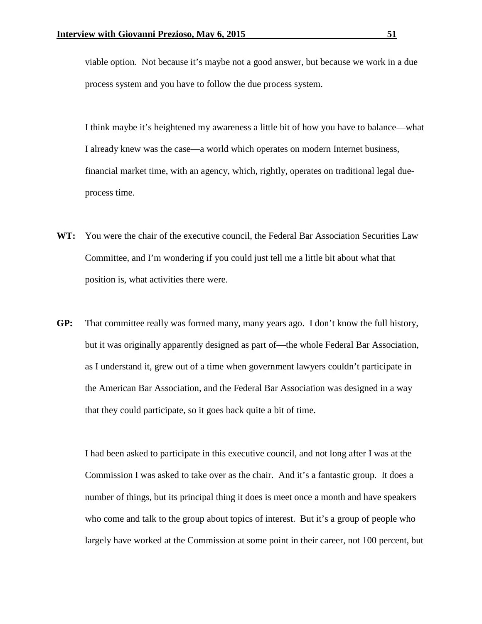viable option. Not because it's maybe not a good answer, but because we work in a due process system and you have to follow the due process system.

I think maybe it's heightened my awareness a little bit of how you have to balance—what I already knew was the case—a world which operates on modern Internet business, financial market time, with an agency, which, rightly, operates on traditional legal dueprocess time.

- **WT:** You were the chair of the executive council, the Federal Bar Association Securities Law Committee, and I'm wondering if you could just tell me a little bit about what that position is, what activities there were.
- **GP:** That committee really was formed many, many years ago. I don't know the full history, but it was originally apparently designed as part of—the whole Federal Bar Association, as I understand it, grew out of a time when government lawyers couldn't participate in the American Bar Association, and the Federal Bar Association was designed in a way that they could participate, so it goes back quite a bit of time.

I had been asked to participate in this executive council, and not long after I was at the Commission I was asked to take over as the chair. And it's a fantastic group. It does a number of things, but its principal thing it does is meet once a month and have speakers who come and talk to the group about topics of interest. But it's a group of people who largely have worked at the Commission at some point in their career, not 100 percent, but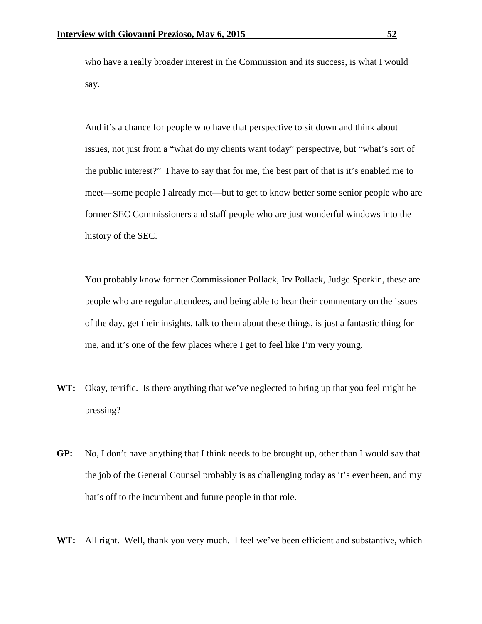who have a really broader interest in the Commission and its success, is what I would say.

And it's a chance for people who have that perspective to sit down and think about issues, not just from a "what do my clients want today" perspective, but "what's sort of the public interest?" I have to say that for me, the best part of that is it's enabled me to meet—some people I already met—but to get to know better some senior people who are former SEC Commissioners and staff people who are just wonderful windows into the history of the SEC.

You probably know former Commissioner Pollack, Irv Pollack, Judge Sporkin, these are people who are regular attendees, and being able to hear their commentary on the issues of the day, get their insights, talk to them about these things, is just a fantastic thing for me, and it's one of the few places where I get to feel like I'm very young.

- **WT:** Okay, terrific. Is there anything that we've neglected to bring up that you feel might be pressing?
- **GP:** No, I don't have anything that I think needs to be brought up, other than I would say that the job of the General Counsel probably is as challenging today as it's ever been, and my hat's off to the incumbent and future people in that role.
- WT: All right. Well, thank you very much. I feel we've been efficient and substantive, which